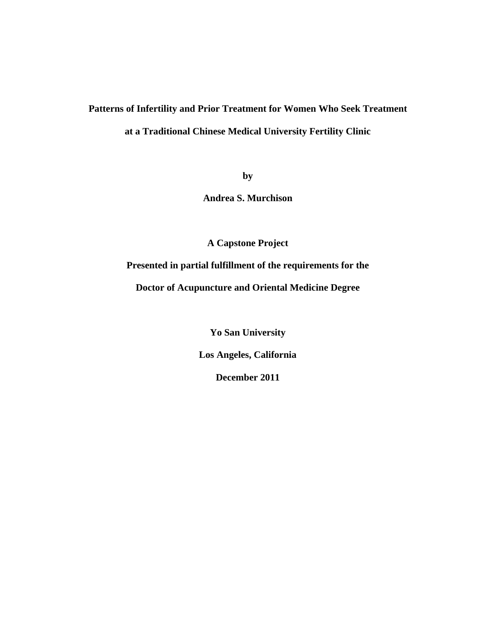# **Patterns of Infertility and Prior Treatment for Women Who Seek Treatment at a Traditional Chinese Medical University Fertility Clinic**

**by**

**Andrea S. Murchison**

**A Capstone Project**

**Presented in partial fulfillment of the requirements for the**

**Doctor of Acupuncture and Oriental Medicine Degree**

**Yo San University**

**Los Angeles, California**

**December 2011**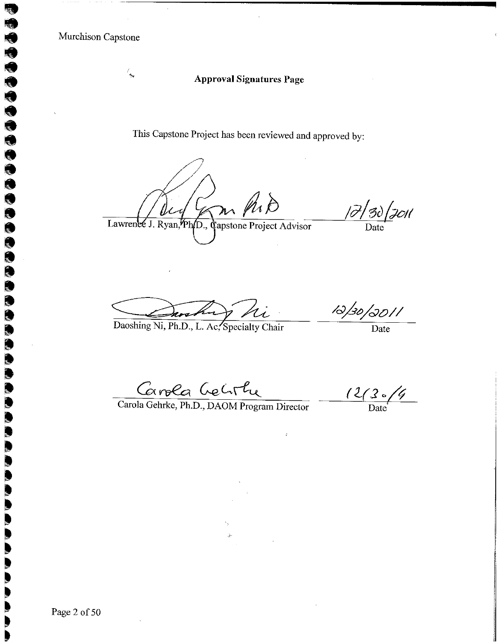$\frac{\ell_{\rm{max}}}{2}$ 

000000000000

Q Q

# **Approval Signatures Page**

This Capstone Project has been reviewed and approved by:

Lawrence J. Ryan, Ph<sub>1</sub>D., Capstone Project Advisor

 $\frac{1}{\beta}$  30 | JOI |

Daoshing Ni, Ph.D., L. Ac, Specialty Chair

 $\frac{1}{\sqrt{30/30/1}}$ 

Carola Gelir Le Cortu

 $\frac{(2/3)(4)}{2}$ 

Page 2 of 50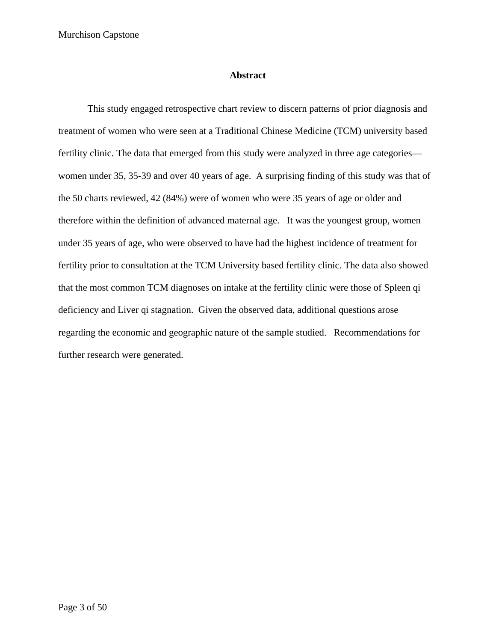# **Abstract**

This study engaged retrospective chart review to discern patterns of prior diagnosis and treatment of women who were seen at a Traditional Chinese Medicine (TCM) university based fertility clinic. The data that emerged from this study were analyzed in three age categories women under 35, 35-39 and over 40 years of age. A surprising finding of this study was that of the 50 charts reviewed, 42 (84%) were of women who were 35 years of age or older and therefore within the definition of advanced maternal age. It was the youngest group, women under 35 years of age, who were observed to have had the highest incidence of treatment for fertility prior to consultation at the TCM University based fertility clinic. The data also showed that the most common TCM diagnoses on intake at the fertility clinic were those of Spleen qi deficiency and Liver qi stagnation. Given the observed data, additional questions arose regarding the economic and geographic nature of the sample studied. Recommendations for further research were generated.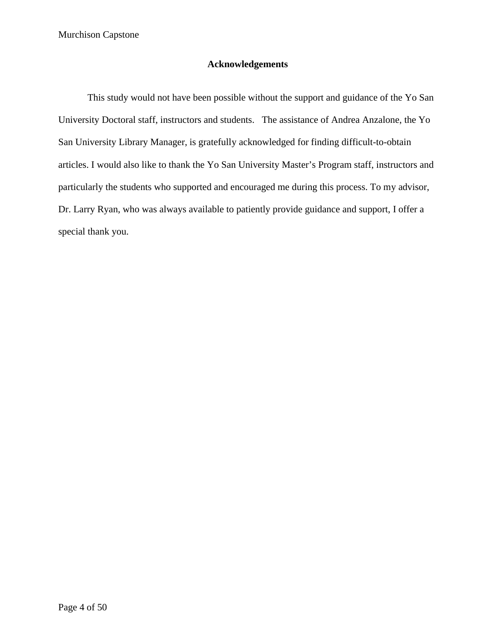# **Acknowledgements**

This study would not have been possible without the support and guidance of the Yo San University Doctoral staff, instructors and students. The assistance of Andrea Anzalone, the Yo San University Library Manager, is gratefully acknowledged for finding difficult-to-obtain articles. I would also like to thank the Yo San University Master's Program staff, instructors and particularly the students who supported and encouraged me during this process. To my advisor, Dr. Larry Ryan, who was always available to patiently provide guidance and support, I offer a special thank you.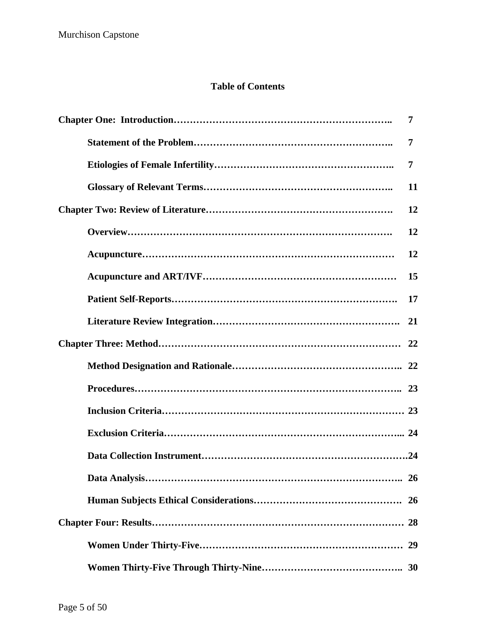# **Table of Contents**

| 7         |
|-----------|
| 7         |
| 7         |
| 11        |
| 12        |
| 12        |
| 12        |
| 15        |
| 17        |
| 21        |
| 22        |
| 22        |
|           |
|           |
| 24        |
|           |
| 26        |
| <b>26</b> |
|           |
| 29        |
|           |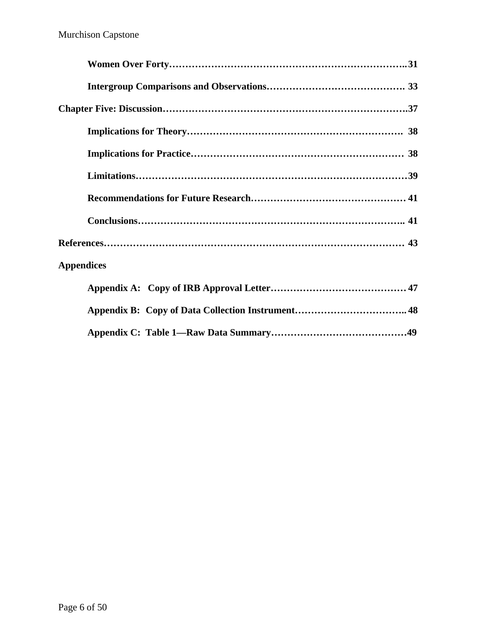| <b>Appendices</b> |
|-------------------|
|                   |
|                   |
|                   |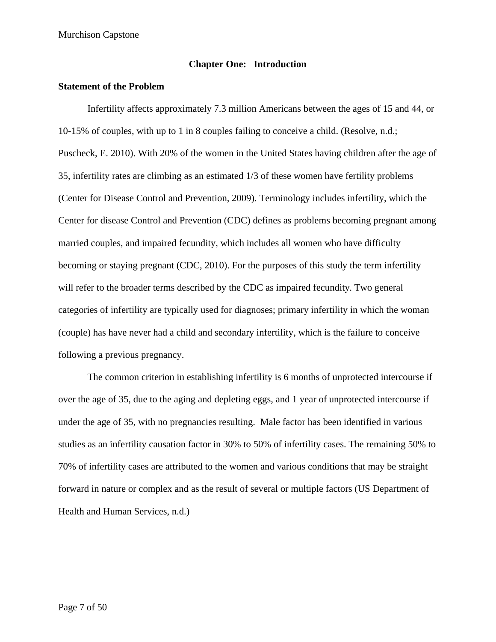# **Chapter One: Introduction**

# **Statement of the Problem**

Infertility affects approximately 7.3 million Americans between the ages of 15 and 44, or 10-15% of couples, with up to 1 in 8 couples failing to conceive a child. (Resolve, n.d.; Puscheck, E. 2010). With 20% of the women in the United States having children after the age of 35, infertility rates are climbing as an estimated 1/3 of these women have fertility problems (Center for Disease Control and Prevention, 2009). Terminology includes infertility, which the Center for disease Control and Prevention (CDC) defines as problems becoming pregnant among married couples, and impaired fecundity, which includes all women who have difficulty becoming or staying pregnant (CDC, 2010). For the purposes of this study the term infertility will refer to the broader terms described by the CDC as impaired fecundity. Two general categories of infertility are typically used for diagnoses; primary infertility in which the woman (couple) has have never had a child and secondary infertility, which is the failure to conceive following a previous pregnancy.

The common criterion in establishing infertility is 6 months of unprotected intercourse if over the age of 35, due to the aging and depleting eggs, and 1 year of unprotected intercourse if under the age of 35, with no pregnancies resulting. Male factor has been identified in various studies as an infertility causation factor in 30% to 50% of infertility cases. The remaining 50% to 70% of infertility cases are attributed to the women and various conditions that may be straight forward in nature or complex and as the result of several or multiple factors (US Department of Health and Human Services, n.d.)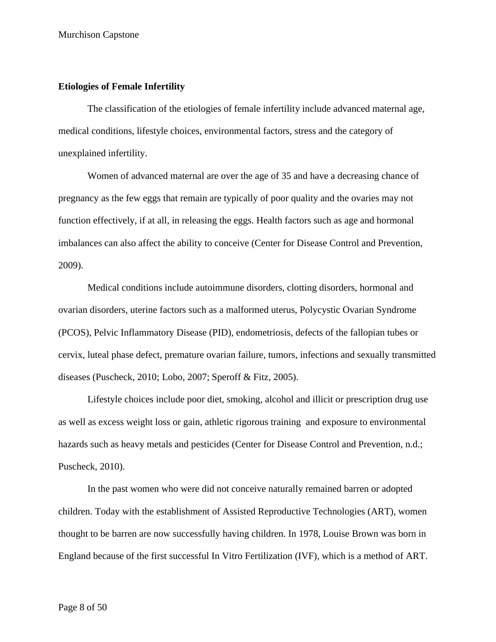#### **Etiologies of Female Infertility**

The classification of the etiologies of female infertility include advanced maternal age, medical conditions, lifestyle choices, environmental factors, stress and the category of unexplained infertility.

Women of advanced maternal are over the age of 35 and have a decreasing chance of pregnancy as the few eggs that remain are typically of poor quality and the ovaries may not function effectively, if at all, in releasing the eggs. Health factors such as age and hormonal imbalances can also affect the ability to conceive (Center for Disease Control and Prevention, 2009).

Medical conditions include autoimmune disorders, clotting disorders, hormonal and ovarian disorders, uterine factors such as a malformed uterus, Polycystic Ovarian Syndrome (PCOS), Pelvic Inflammatory Disease (PID), endometriosis, defects of the fallopian tubes or cervix, luteal phase defect, premature ovarian failure, tumors, infections and sexually transmitted diseases (Puscheck, 2010; Lobo, 2007; Speroff & Fitz, 2005).

Lifestyle choices include poor diet, smoking, alcohol and illicit or prescription drug use as well as excess weight loss or gain, athletic rigorous training and exposure to environmental hazards such as heavy metals and pesticides (Center for Disease Control and Prevention, n.d.; Puscheck, 2010).

In the past women who were did not conceive naturally remained barren or adopted children. Today with the establishment of Assisted Reproductive Technologies (ART), women thought to be barren are now successfully having children. In 1978, Louise Brown was born in England because of the first successful In Vitro Fertilization (IVF), which is a method of ART.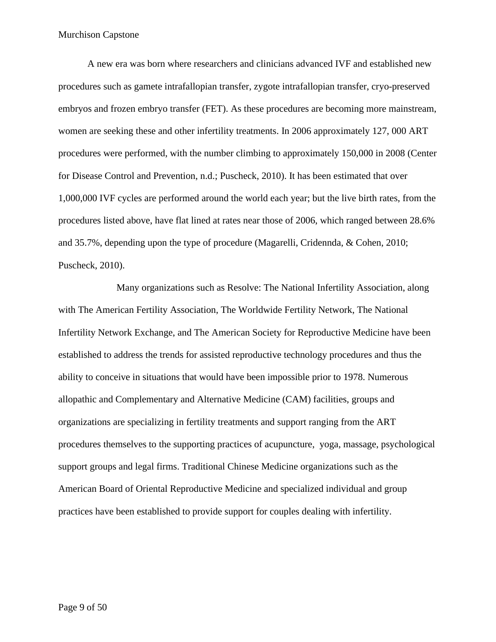A new era was born where researchers and clinicians advanced IVF and established new procedures such as gamete intrafallopian transfer, zygote intrafallopian transfer, cryo-preserved embryos and frozen embryo transfer (FET). As these procedures are becoming more mainstream, women are seeking these and other infertility treatments. In 2006 approximately 127, 000 ART procedures were performed, with the number climbing to approximately 150,000 in 2008 (Center for Disease Control and Prevention, n.d.; Puscheck, 2010). It has been estimated that over 1,000,000 IVF cycles are performed around the world each year; but the live birth rates, from the procedures listed above, have flat lined at rates near those of 2006, which ranged between 28.6% and 35.7%, depending upon the type of procedure (Magarelli, Cridennda, & Cohen, 2010; Puscheck, 2010).

Many organizations such as Resolve: The National Infertility Association, along with The American Fertility Association, The Worldwide Fertility Network, The National Infertility Network Exchange, and The American Society for Reproductive Medicine have been established to address the trends for assisted reproductive technology procedures and thus the ability to conceive in situations that would have been impossible prior to 1978. Numerous allopathic and Complementary and Alternative Medicine (CAM) facilities, groups and organizations are specializing in fertility treatments and support ranging from the ART procedures themselves to the supporting practices of acupuncture, yoga, massage, psychological support groups and legal firms. Traditional Chinese Medicine organizations such as the American Board of Oriental Reproductive Medicine and specialized individual and group practices have been established to provide support for couples dealing with infertility.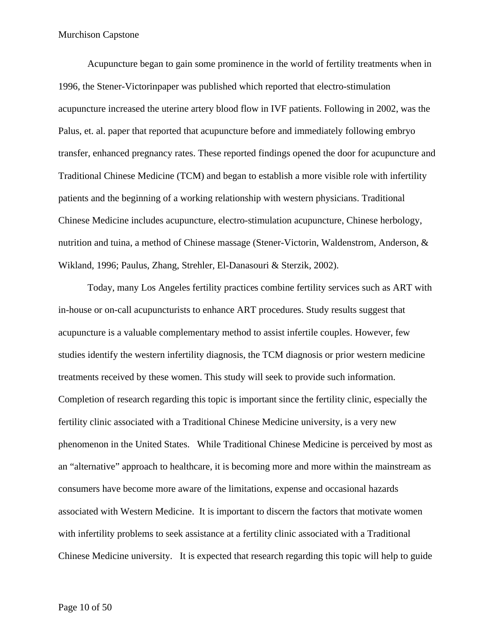Acupuncture began to gain some prominence in the world of fertility treatments when in 1996, the Stener-Victorinpaper was published which reported that electro-stimulation acupuncture increased the uterine artery blood flow in IVF patients. Following in 2002, was the Palus, et. al. paper that reported that acupuncture before and immediately following embryo transfer, enhanced pregnancy rates. These reported findings opened the door for acupuncture and Traditional Chinese Medicine (TCM) and began to establish a more visible role with infertility patients and the beginning of a working relationship with western physicians. Traditional Chinese Medicine includes acupuncture, electro-stimulation acupuncture, Chinese herbology, nutrition and tuina, a method of Chinese massage (Stener-Victorin, Waldenstrom, Anderson, & Wikland, 1996; Paulus, Zhang, Strehler, El-Danasouri & Sterzik, 2002).

Today, many Los Angeles fertility practices combine fertility services such as ART with in-house or on-call acupuncturists to enhance ART procedures. Study results suggest that acupuncture is a valuable complementary method to assist infertile couples. However, few studies identify the western infertility diagnosis, the TCM diagnosis or prior western medicine treatments received by these women. This study will seek to provide such information. Completion of research regarding this topic is important since the fertility clinic, especially the fertility clinic associated with a Traditional Chinese Medicine university, is a very new phenomenon in the United States. While Traditional Chinese Medicine is perceived by most as an "alternative" approach to healthcare, it is becoming more and more within the mainstream as consumers have become more aware of the limitations, expense and occasional hazards associated with Western Medicine. It is important to discern the factors that motivate women with infertility problems to seek assistance at a fertility clinic associated with a Traditional Chinese Medicine university. It is expected that research regarding this topic will help to guide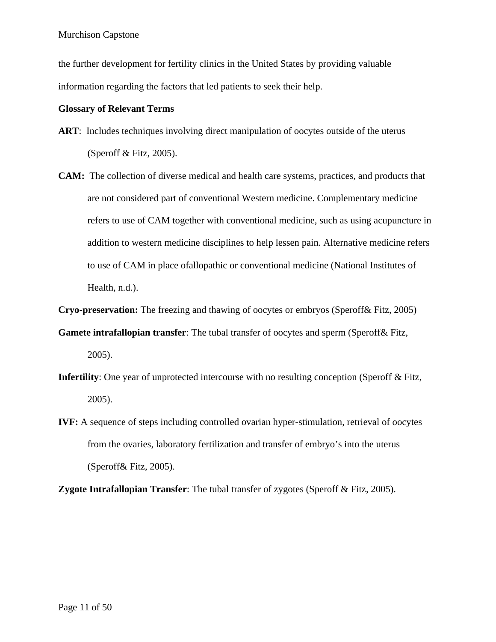the further development for fertility clinics in the United States by providing valuable information regarding the factors that led patients to seek their help.

# **Glossary of Relevant Terms**

- **ART**: Includes techniques involving direct manipulation of oocytes outside of the uterus (Speroff  $&$  Fitz, 2005).
- **CAM:** The collection of diverse medical and health care systems, practices, and products that are not considered part of conventional Western medicine. Complementary medicine refers to use of CAM together with conventional medicine, such as using acupuncture in addition to western medicine disciplines to help lessen pain. Alternative medicine refers to use of CAM in place ofallopathic or conventional medicine (National Institutes of Health, n.d.).

**Cryo-preservation:** The freezing and thawing of oocytes or embryos (Speroff& Fitz, 2005)

- **Gamete intrafallopian transfer**: The tubal transfer of oocytes and sperm (Speroff& Fitz, 2005).
- **Infertility**: One year of unprotected intercourse with no resulting conception (Speroff & Fitz, 2005).
- **IVF:** A sequence of steps including controlled ovarian hyper-stimulation, retrieval of oocytes from the ovaries, laboratory fertilization and transfer of embryo's into the uterus (Speroff& Fitz, 2005).

**Zygote Intrafallopian Transfer**: The tubal transfer of zygotes (Speroff & Fitz, 2005).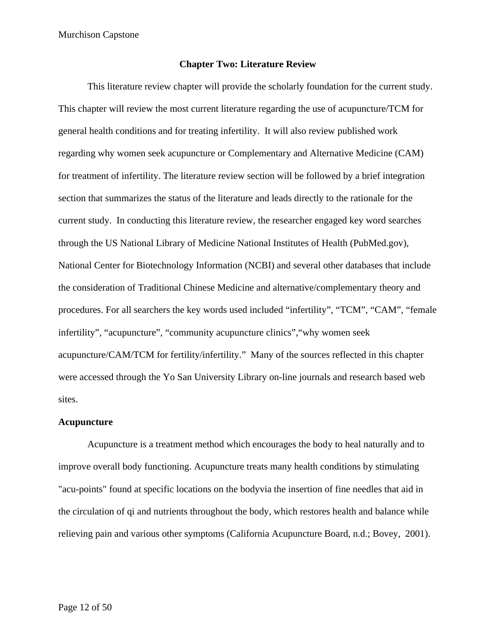#### **Chapter Two: Literature Review**

This literature review chapter will provide the scholarly foundation for the current study. This chapter will review the most current literature regarding the use of acupuncture/TCM for general health conditions and for treating infertility. It will also review published work regarding why women seek acupuncture or Complementary and Alternative Medicine (CAM) for treatment of infertility. The literature review section will be followed by a brief integration section that summarizes the status of the literature and leads directly to the rationale for the current study. In conducting this literature review, the researcher engaged key word searches through the US National Library of Medicine National Institutes of Health (PubMed.gov), National Center for Biotechnology Information (NCBI) and several other databases that include the consideration of Traditional Chinese Medicine and alternative/complementary theory and procedures. For all searchers the key words used included "infertility", "TCM", "CAM", "female infertility", "acupuncture", "community acupuncture clinics","why women seek acupuncture/CAM/TCM for fertility/infertility." Many of the sources reflected in this chapter were accessed through the Yo San University Library on-line journals and research based web sites.

#### **Acupuncture**

Acupuncture is a treatment method which encourages the body to heal naturally and to improve overall body functioning. Acupuncture treats many health conditions by stimulating "acu-points" found at specific locations on the bodyvia the insertion of fine needles that aid in the circulation of qi and nutrients throughout the body, which restores health and balance while relieving pain and various other symptoms (California Acupuncture Board, n.d.; Bovey, 2001).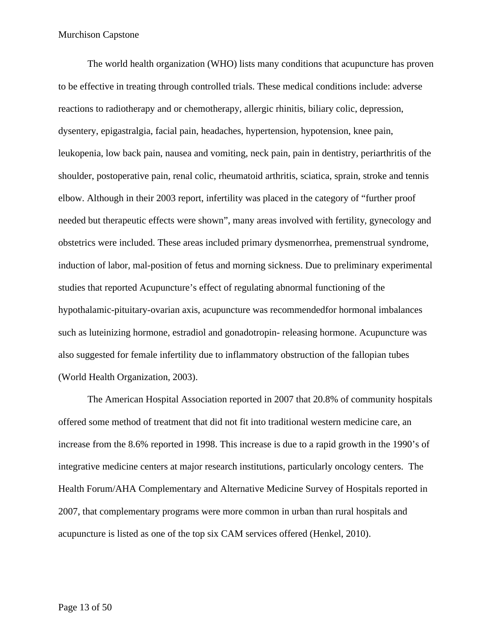The world health organization (WHO) lists many conditions that acupuncture has proven to be effective in treating through controlled trials. These medical conditions include: adverse reactions to radiotherapy and or chemotherapy, allergic rhinitis, biliary colic, depression, dysentery, epigastralgia, facial pain, headaches, hypertension, hypotension, knee pain, leukopenia, low back pain, nausea and vomiting, neck pain, pain in dentistry, periarthritis of the shoulder, postoperative pain, renal colic, rheumatoid arthritis, sciatica, sprain, stroke and tennis elbow. Although in their 2003 report, infertility was placed in the category of "further proof needed but therapeutic effects were shown", many areas involved with fertility, gynecology and obstetrics were included. These areas included primary dysmenorrhea, premenstrual syndrome, induction of labor, mal-position of fetus and morning sickness. Due to preliminary experimental studies that reported Acupuncture's effect of regulating abnormal functioning of the hypothalamic-pituitary-ovarian axis, acupuncture was recommendedfor hormonal imbalances such as luteinizing hormone, estradiol and gonadotropin- releasing hormone. Acupuncture was also suggested for female infertility due to inflammatory obstruction of the fallopian tubes (World Health Organization, 2003).

The American Hospital Association reported in 2007 that 20.8% of community hospitals offered some method of treatment that did not fit into traditional western medicine care, an increase from the 8.6% reported in 1998. This increase is due to a rapid growth in the 1990's of integrative medicine centers at major research institutions, particularly oncology centers. The Health Forum/AHA Complementary and Alternative Medicine Survey of Hospitals reported in 2007, that complementary programs were more common in urban than rural hospitals and acupuncture is listed as one of the top six CAM services offered (Henkel, 2010).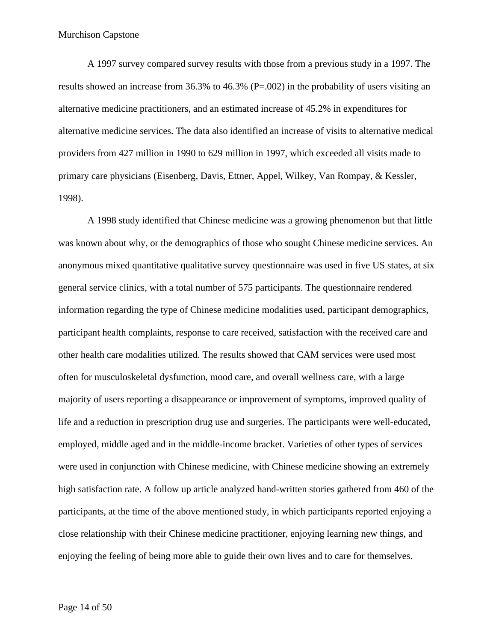A 1997 survey compared survey results with those from a previous study in a 1997. The results showed an increase from 36.3% to 46.3% (P=.002) in the probability of users visiting an alternative medicine practitioners, and an estimated increase of 45.2% in expenditures for alternative medicine services. The data also identified an increase of visits to alternative medical providers from 427 million in 1990 to 629 million in 1997, which exceeded all visits made to primary care physicians (Eisenberg, Davis, Ettner, Appel, Wilkey, Van Rompay, & Kessler, 1998).

A 1998 study identified that Chinese medicine was a growing phenomenon but that little was known about why, or the demographics of those who sought Chinese medicine services. An anonymous mixed quantitative qualitative survey questionnaire was used in five US states, at six general service clinics, with a total number of 575 participants. The questionnaire rendered information regarding the type of Chinese medicine modalities used, participant demographics, participant health complaints, response to care received, satisfaction with the received care and other health care modalities utilized. The results showed that CAM services were used most often for musculoskeletal dysfunction, mood care, and overall wellness care, with a large majority of users reporting a disappearance or improvement of symptoms, improved quality of life and a reduction in prescription drug use and surgeries. The participants were well-educated, employed, middle aged and in the middle-income bracket. Varieties of other types of services were used in conjunction with Chinese medicine, with Chinese medicine showing an extremely high satisfaction rate. A follow up article analyzed hand-written stories gathered from 460 of the participants, at the time of the above mentioned study, in which participants reported enjoying a close relationship with their Chinese medicine practitioner, enjoying learning new things, and enjoying the feeling of being more able to guide their own lives and to care for themselves.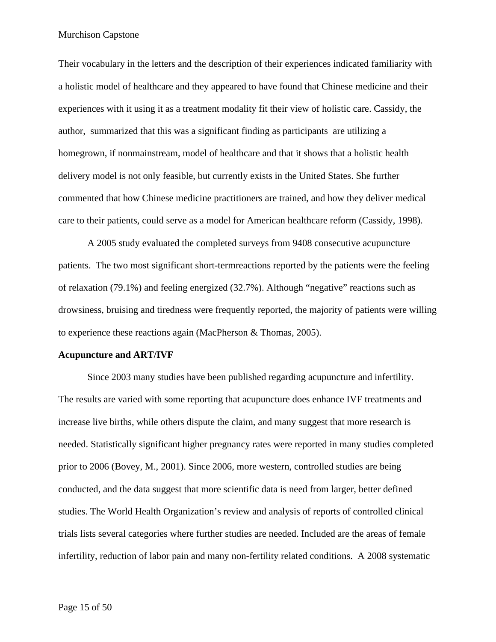Their vocabulary in the letters and the description of their experiences indicated familiarity with a holistic model of healthcare and they appeared to have found that Chinese medicine and their experiences with it using it as a treatment modality fit their view of holistic care. Cassidy, the author, summarized that this was a significant finding as participants are utilizing a homegrown, if nonmainstream, model of healthcare and that it shows that a holistic health delivery model is not only feasible, but currently exists in the United States. She further commented that how Chinese medicine practitioners are trained, and how they deliver medical care to their patients, could serve as a model for American healthcare reform (Cassidy, 1998).

A 2005 study evaluated the completed surveys from 9408 consecutive acupuncture patients. The two most significant short-termreactions reported by the patients were the feeling of relaxation (79.1%) and feeling energized (32.7%). Although "negative" reactions such as drowsiness, bruising and tiredness were frequently reported, the majority of patients were willing to experience these reactions again (MacPherson & Thomas, 2005).

#### **Acupuncture and ART/IVF**

Since 2003 many studies have been published regarding acupuncture and infertility. The results are varied with some reporting that acupuncture does enhance IVF treatments and increase live births, while others dispute the claim, and many suggest that more research is needed. Statistically significant higher pregnancy rates were reported in many studies completed prior to 2006 (Bovey, M., 2001). Since 2006, more western, controlled studies are being conducted, and the data suggest that more scientific data is need from larger, better defined studies. The World Health Organization's review and analysis of reports of controlled clinical trials lists several categories where further studies are needed. Included are the areas of female infertility, reduction of labor pain and many non-fertility related conditions. A 2008 systematic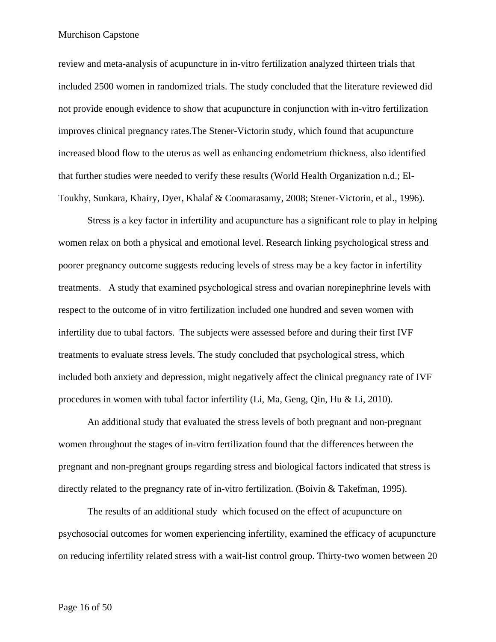review and meta-analysis of acupuncture in in-vitro fertilization analyzed thirteen trials that included 2500 women in randomized trials. The study concluded that the literature reviewed did not provide enough evidence to show that acupuncture in conjunction with in-vitro fertilization improves clinical pregnancy rates.The Stener-Victorin study, which found that acupuncture increased blood flow to the uterus as well as enhancing endometrium thickness, also identified that further studies were needed to verify these results (World Health Organization n.d.; El-Toukhy, Sunkara, Khairy, Dyer, Khalaf & Coomarasamy, 2008; Stener-Victorin, et al., 1996).

Stress is a key factor in infertility and acupuncture has a significant role to play in helping women relax on both a physical and emotional level. Research linking psychological stress and poorer pregnancy outcome suggests reducing levels of stress may be a key factor in infertility treatments. A study that examined psychological stress and ovarian norepinephrine levels with respect to the outcome of in vitro fertilization included one hundred and seven women with infertility due to tubal factors. The subjects were assessed before and during their first IVF treatments to evaluate stress levels. The study concluded that psychological stress, which included both anxiety and depression, might negatively affect the clinical pregnancy rate of IVF procedures in women with tubal factor infertility (Li, Ma, Geng, Qin, Hu & Li, 2010).

An additional study that evaluated the stress levels of both pregnant and non-pregnant women throughout the stages of in-vitro fertilization found that the differences between the pregnant and non-pregnant groups regarding stress and biological factors indicated that stress is directly related to the pregnancy rate of in-vitro fertilization. (Boivin & Takefman, 1995).

The results of an additional study which focused on the effect of acupuncture on psychosocial outcomes for women experiencing infertility, examined the efficacy of acupuncture on reducing infertility related stress with a wait-list control group. Thirty-two women between 20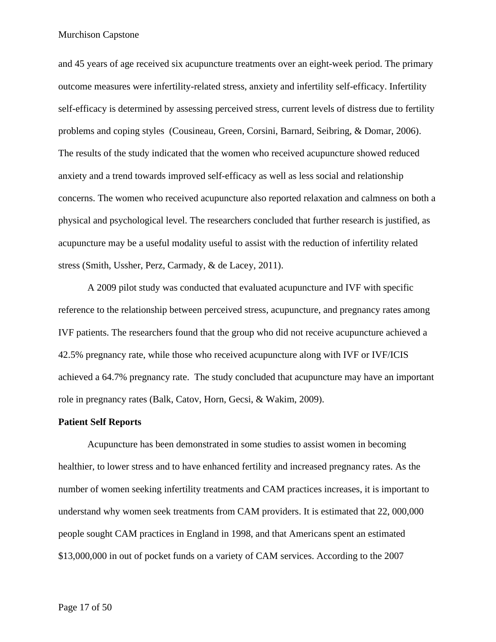and 45 years of age received six acupuncture treatments over an eight-week period. The primary outcome measures were infertility-related stress, anxiety and infertility self-efficacy. Infertility self-efficacy is determined by assessing perceived stress, current levels of distress due to fertility problems and coping styles (Cousineau, Green, Corsini, Barnard, Seibring, & Domar, 2006). The results of the study indicated that the women who received acupuncture showed reduced anxiety and a trend towards improved self-efficacy as well as less social and relationship concerns. The women who received acupuncture also reported relaxation and calmness on both a physical and psychological level. The researchers concluded that further research is justified, as acupuncture may be a useful modality useful to assist with the reduction of infertility related stress (Smith, Ussher, Perz, Carmady, & de Lacey, 2011).

A 2009 pilot study was conducted that evaluated acupuncture and IVF with specific reference to the relationship between perceived stress, acupuncture, and pregnancy rates among IVF patients. The researchers found that the group who did not receive acupuncture achieved a 42.5% pregnancy rate, while those who received acupuncture along with IVF or IVF/ICIS achieved a 64.7% pregnancy rate. The study concluded that acupuncture may have an important role in pregnancy rates (Balk, Catov, Horn, Gecsi, & Wakim, 2009).

#### **Patient Self Reports**

Acupuncture has been demonstrated in some studies to assist women in becoming healthier, to lower stress and to have enhanced fertility and increased pregnancy rates. As the number of women seeking infertility treatments and CAM practices increases, it is important to understand why women seek treatments from CAM providers. It is estimated that 22, 000,000 people sought CAM practices in England in 1998, and that Americans spent an estimated \$13,000,000 in out of pocket funds on a variety of CAM services. According to the 2007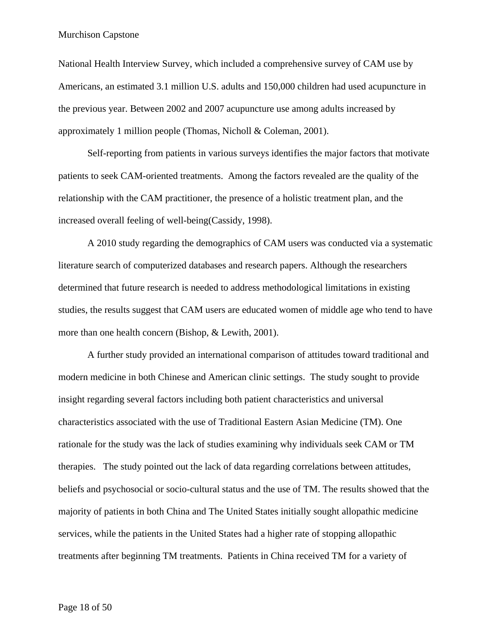National Health Interview Survey, which included a comprehensive survey of CAM use by Americans, an estimated 3.1 million U.S. adults and 150,000 children had used acupuncture in the previous year. Between 2002 and 2007 acupuncture use among adults increased by approximately 1 million people (Thomas, Nicholl & Coleman, 2001).

Self-reporting from patients in various surveys identifies the major factors that motivate patients to seek CAM-oriented treatments. Among the factors revealed are the quality of the relationship with the CAM practitioner, the presence of a holistic treatment plan, and the increased overall feeling of well-being(Cassidy, 1998).

A 2010 study regarding the demographics of CAM users was conducted via a systematic literature search of computerized databases and research papers. Although the researchers determined that future research is needed to address methodological limitations in existing studies, the results suggest that CAM users are educated women of middle age who tend to have more than one health concern (Bishop, & Lewith, 2001).

A further study provided an international comparison of attitudes toward traditional and modern medicine in both Chinese and American clinic settings. The study sought to provide insight regarding several factors including both patient characteristics and universal characteristics associated with the use of Traditional Eastern Asian Medicine (TM). One rationale for the study was the lack of studies examining why individuals seek CAM or TM therapies. The study pointed out the lack of data regarding correlations between attitudes, beliefs and psychosocial or socio-cultural status and the use of TM. The results showed that the majority of patients in both China and The United States initially sought allopathic medicine services, while the patients in the United States had a higher rate of stopping allopathic treatments after beginning TM treatments. Patients in China received TM for a variety of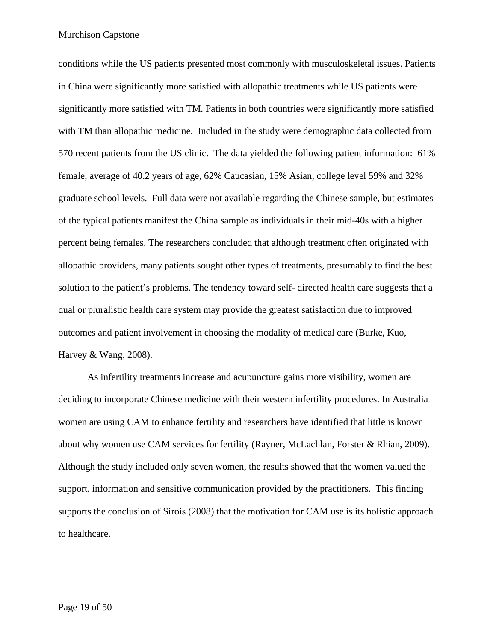conditions while the US patients presented most commonly with musculoskeletal issues. Patients in China were significantly more satisfied with allopathic treatments while US patients were significantly more satisfied with TM. Patients in both countries were significantly more satisfied with TM than allopathic medicine. Included in the study were demographic data collected from 570 recent patients from the US clinic. The data yielded the following patient information: 61% female, average of 40.2 years of age, 62% Caucasian, 15% Asian, college level 59% and 32% graduate school levels. Full data were not available regarding the Chinese sample, but estimates of the typical patients manifest the China sample as individuals in their mid-40s with a higher percent being females. The researchers concluded that although treatment often originated with allopathic providers, many patients sought other types of treatments, presumably to find the best solution to the patient's problems. The tendency toward self- directed health care suggests that a dual or pluralistic health care system may provide the greatest satisfaction due to improved outcomes and patient involvement in choosing the modality of medical care (Burke, Kuo, Harvey & Wang, 2008).

As infertility treatments increase and acupuncture gains more visibility, women are deciding to incorporate Chinese medicine with their western infertility procedures. In Australia women are using CAM to enhance fertility and researchers have identified that little is known about why women use CAM services for fertility (Rayner, McLachlan, Forster & Rhian, 2009). Although the study included only seven women, the results showed that the women valued the support, information and sensitive communication provided by the practitioners. This finding supports the conclusion of Sirois (2008) that the motivation for CAM use is its holistic approach to healthcare.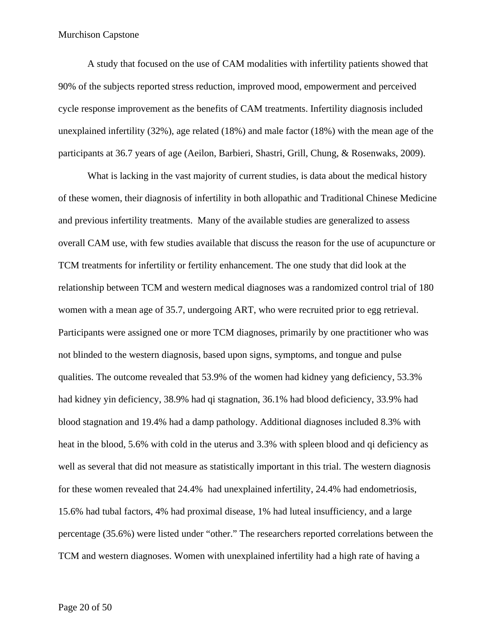A study that focused on the use of CAM modalities with infertility patients showed that 90% of the subjects reported stress reduction, improved mood, empowerment and perceived cycle response improvement as the benefits of CAM treatments. Infertility diagnosis included unexplained infertility (32%), age related (18%) and male factor (18%) with the mean age of the participants at 36.7 years of age (Aeilon, Barbieri, Shastri, Grill, Chung, & Rosenwaks, 2009).

What is lacking in the vast majority of current studies, is data about the medical history of these women, their diagnosis of infertility in both allopathic and Traditional Chinese Medicine and previous infertility treatments. Many of the available studies are generalized to assess overall CAM use, with few studies available that discuss the reason for the use of acupuncture or TCM treatments for infertility or fertility enhancement. The one study that did look at the relationship between TCM and western medical diagnoses was a randomized control trial of 180 women with a mean age of 35.7, undergoing ART, who were recruited prior to egg retrieval. Participants were assigned one or more TCM diagnoses, primarily by one practitioner who was not blinded to the western diagnosis, based upon signs, symptoms, and tongue and pulse qualities. The outcome revealed that 53.9% of the women had kidney yang deficiency, 53.3% had kidney yin deficiency, 38.9% had qi stagnation, 36.1% had blood deficiency, 33.9% had blood stagnation and 19.4% had a damp pathology. Additional diagnoses included 8.3% with heat in the blood, 5.6% with cold in the uterus and 3.3% with spleen blood and qi deficiency as well as several that did not measure as statistically important in this trial. The western diagnosis for these women revealed that 24.4% had unexplained infertility, 24.4% had endometriosis, 15.6% had tubal factors, 4% had proximal disease, 1% had luteal insufficiency, and a large percentage (35.6%) were listed under "other." The researchers reported correlations between the TCM and western diagnoses. Women with unexplained infertility had a high rate of having a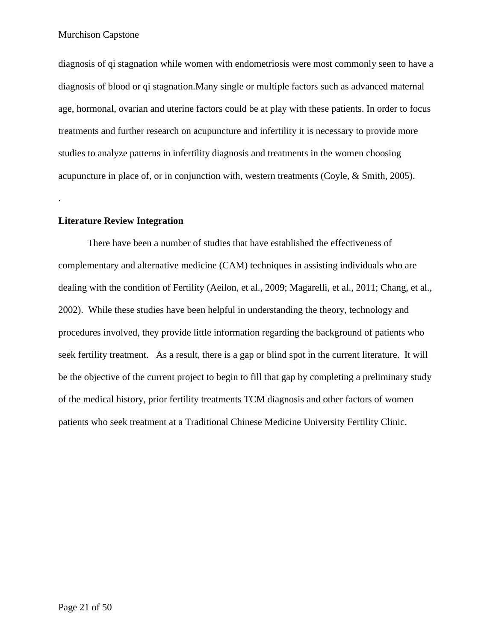diagnosis of qi stagnation while women with endometriosis were most commonly seen to have a diagnosis of blood or qi stagnation.Many single or multiple factors such as advanced maternal age, hormonal, ovarian and uterine factors could be at play with these patients. In order to focus treatments and further research on acupuncture and infertility it is necessary to provide more studies to analyze patterns in infertility diagnosis and treatments in the women choosing acupuncture in place of, or in conjunction with, western treatments (Coyle, & Smith, 2005).

#### **Literature Review Integration**

.

There have been a number of studies that have established the effectiveness of complementary and alternative medicine (CAM) techniques in assisting individuals who are dealing with the condition of Fertility (Aeilon, et al., 2009; Magarelli, et al., 2011; Chang, et al., 2002). While these studies have been helpful in understanding the theory, technology and procedures involved, they provide little information regarding the background of patients who seek fertility treatment. As a result, there is a gap or blind spot in the current literature. It will be the objective of the current project to begin to fill that gap by completing a preliminary study of the medical history, prior fertility treatments TCM diagnosis and other factors of women patients who seek treatment at a Traditional Chinese Medicine University Fertility Clinic.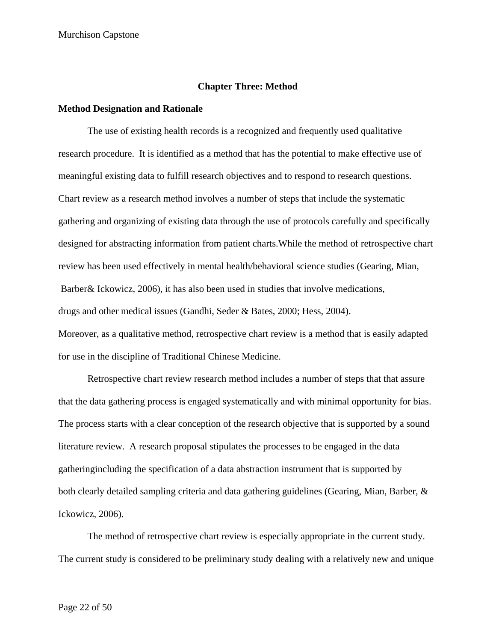#### **Chapter Three: Method**

#### **Method Designation and Rationale**

The use of existing health records is a recognized and frequently used qualitative research procedure. It is identified as a method that has the potential to make effective use of meaningful existing data to fulfill research objectives and to respond to research questions. Chart review as a research method involves a number of steps that include the systematic gathering and organizing of existing data through the use of protocols carefully and specifically designed for abstracting information from patient charts.While the method of retrospective chart review has been used effectively in mental health/behavioral science studies (Gearing, Mian, Barber& Ickowicz, 2006), it has also been used in studies that involve medications, drugs and other medical issues (Gandhi, Seder & Bates, 2000; Hess, 2004). Moreover, as a qualitative method, retrospective chart review is a method that is easily adapted for use in the discipline of Traditional Chinese Medicine.

Retrospective chart review research method includes a number of steps that that assure that the data gathering process is engaged systematically and with minimal opportunity for bias. The process starts with a clear conception of the research objective that is supported by a sound literature review. A research proposal stipulates the processes to be engaged in the data gatheringincluding the specification of a data abstraction instrument that is supported by both clearly detailed sampling criteria and data gathering guidelines (Gearing, Mian, Barber, & Ickowicz, 2006).

The method of retrospective chart review is especially appropriate in the current study. The current study is considered to be preliminary study dealing with a relatively new and unique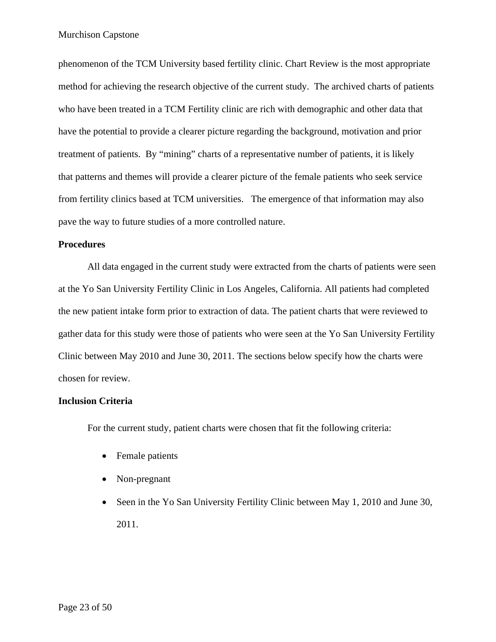phenomenon of the TCM University based fertility clinic. Chart Review is the most appropriate method for achieving the research objective of the current study. The archived charts of patients who have been treated in a TCM Fertility clinic are rich with demographic and other data that have the potential to provide a clearer picture regarding the background, motivation and prior treatment of patients. By "mining" charts of a representative number of patients, it is likely that patterns and themes will provide a clearer picture of the female patients who seek service from fertility clinics based at TCM universities. The emergence of that information may also pave the way to future studies of a more controlled nature.

#### **Procedures**

All data engaged in the current study were extracted from the charts of patients were seen at the Yo San University Fertility Clinic in Los Angeles, California. All patients had completed the new patient intake form prior to extraction of data. The patient charts that were reviewed to gather data for this study were those of patients who were seen at the Yo San University Fertility Clinic between May 2010 and June 30, 2011. The sections below specify how the charts were chosen for review.

# **Inclusion Criteria**

For the current study, patient charts were chosen that fit the following criteria:

- Female patients
- Non-pregnant
- Seen in the Yo San University Fertility Clinic between May 1, 2010 and June 30, 2011.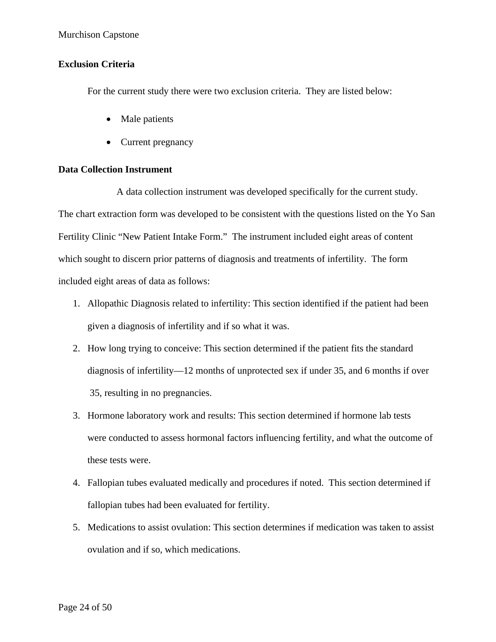# **Exclusion Criteria**

For the current study there were two exclusion criteria. They are listed below:

- Male patients
- Current pregnancy

# **Data Collection Instrument**

A data collection instrument was developed specifically for the current study. The chart extraction form was developed to be consistent with the questions listed on the Yo San Fertility Clinic "New Patient Intake Form." The instrument included eight areas of content which sought to discern prior patterns of diagnosis and treatments of infertility. The form included eight areas of data as follows:

- 1. Allopathic Diagnosis related to infertility: This section identified if the patient had been given a diagnosis of infertility and if so what it was.
- 2. How long trying to conceive: This section determined if the patient fits the standard diagnosis of infertility—12 months of unprotected sex if under 35, and 6 months if over 35, resulting in no pregnancies.
- 3. Hormone laboratory work and results: This section determined if hormone lab tests were conducted to assess hormonal factors influencing fertility, and what the outcome of these tests were.
- 4. Fallopian tubes evaluated medically and procedures if noted. This section determined if fallopian tubes had been evaluated for fertility.
- 5. Medications to assist ovulation: This section determines if medication was taken to assist ovulation and if so, which medications.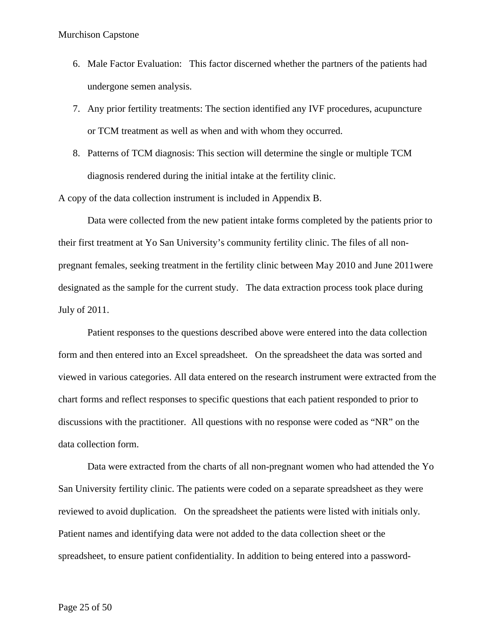- 6. Male Factor Evaluation: This factor discerned whether the partners of the patients had undergone semen analysis.
- 7. Any prior fertility treatments: The section identified any IVF procedures, acupuncture or TCM treatment as well as when and with whom they occurred.
- 8. Patterns of TCM diagnosis: This section will determine the single or multiple TCM diagnosis rendered during the initial intake at the fertility clinic.

A copy of the data collection instrument is included in Appendix B.

Data were collected from the new patient intake forms completed by the patients prior to their first treatment at Yo San University's community fertility clinic. The files of all nonpregnant females, seeking treatment in the fertility clinic between May 2010 and June 2011were designated as the sample for the current study. The data extraction process took place during July of 2011.

Patient responses to the questions described above were entered into the data collection form and then entered into an Excel spreadsheet. On the spreadsheet the data was sorted and viewed in various categories. All data entered on the research instrument were extracted from the chart forms and reflect responses to specific questions that each patient responded to prior to discussions with the practitioner. All questions with no response were coded as "NR" on the data collection form.

Data were extracted from the charts of all non-pregnant women who had attended the Yo San University fertility clinic. The patients were coded on a separate spreadsheet as they were reviewed to avoid duplication. On the spreadsheet the patients were listed with initials only. Patient names and identifying data were not added to the data collection sheet or the spreadsheet, to ensure patient confidentiality. In addition to being entered into a password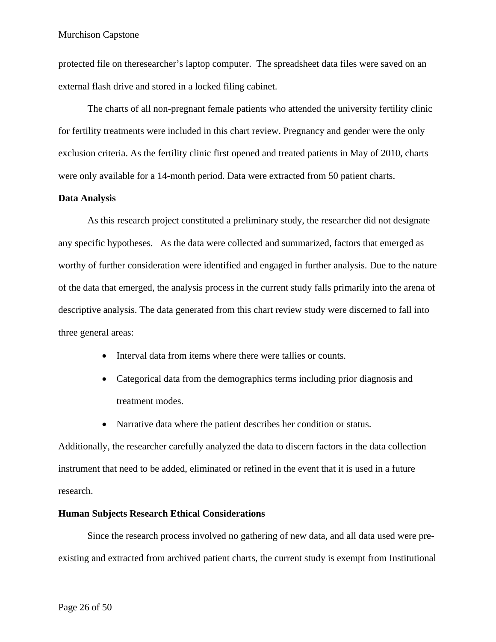protected file on theresearcher's laptop computer. The spreadsheet data files were saved on an external flash drive and stored in a locked filing cabinet.

The charts of all non-pregnant female patients who attended the university fertility clinic for fertility treatments were included in this chart review. Pregnancy and gender were the only exclusion criteria. As the fertility clinic first opened and treated patients in May of 2010, charts were only available for a 14-month period. Data were extracted from 50 patient charts.

# **Data Analysis**

As this research project constituted a preliminary study, the researcher did not designate any specific hypotheses. As the data were collected and summarized, factors that emerged as worthy of further consideration were identified and engaged in further analysis. Due to the nature of the data that emerged, the analysis process in the current study falls primarily into the arena of descriptive analysis. The data generated from this chart review study were discerned to fall into three general areas:

- Interval data from items where there were tallies or counts.
- Categorical data from the demographics terms including prior diagnosis and treatment modes.
- Narrative data where the patient describes her condition or status.

Additionally, the researcher carefully analyzed the data to discern factors in the data collection instrument that need to be added, eliminated or refined in the event that it is used in a future research.

# **Human Subjects Research Ethical Considerations**

Since the research process involved no gathering of new data, and all data used were preexisting and extracted from archived patient charts, the current study is exempt from Institutional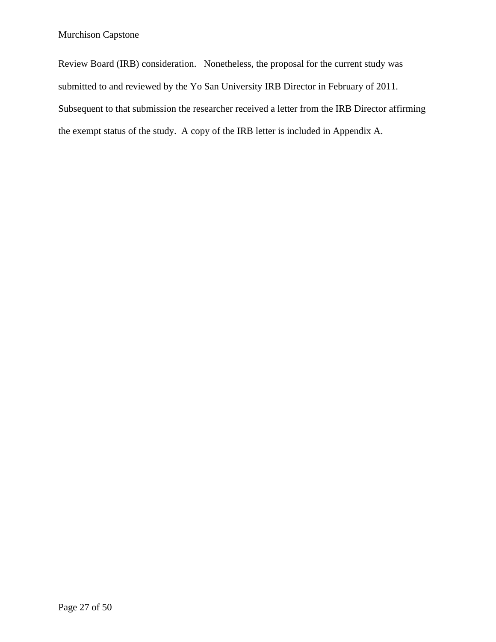Review Board (IRB) consideration. Nonetheless, the proposal for the current study was submitted to and reviewed by the Yo San University IRB Director in February of 2011. Subsequent to that submission the researcher received a letter from the IRB Director affirming the exempt status of the study. A copy of the IRB letter is included in Appendix A.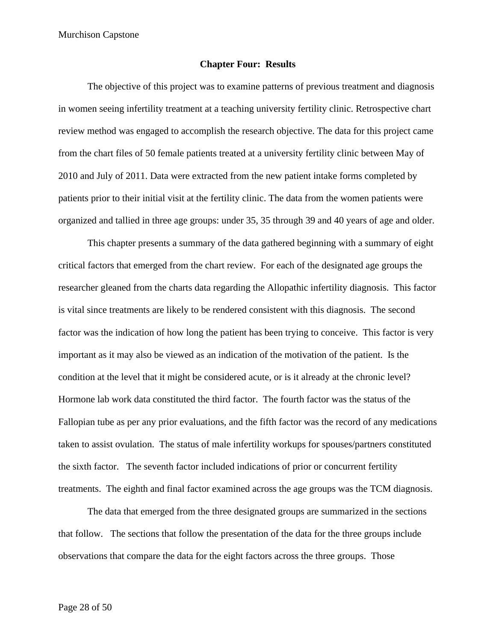#### **Chapter Four: Results**

The objective of this project was to examine patterns of previous treatment and diagnosis in women seeing infertility treatment at a teaching university fertility clinic. Retrospective chart review method was engaged to accomplish the research objective. The data for this project came from the chart files of 50 female patients treated at a university fertility clinic between May of 2010 and July of 2011. Data were extracted from the new patient intake forms completed by patients prior to their initial visit at the fertility clinic. The data from the women patients were organized and tallied in three age groups: under 35, 35 through 39 and 40 years of age and older.

This chapter presents a summary of the data gathered beginning with a summary of eight critical factors that emerged from the chart review. For each of the designated age groups the researcher gleaned from the charts data regarding the Allopathic infertility diagnosis. This factor is vital since treatments are likely to be rendered consistent with this diagnosis. The second factor was the indication of how long the patient has been trying to conceive. This factor is very important as it may also be viewed as an indication of the motivation of the patient. Is the condition at the level that it might be considered acute, or is it already at the chronic level? Hormone lab work data constituted the third factor. The fourth factor was the status of the Fallopian tube as per any prior evaluations, and the fifth factor was the record of any medications taken to assist ovulation. The status of male infertility workups for spouses/partners constituted the sixth factor. The seventh factor included indications of prior or concurrent fertility treatments. The eighth and final factor examined across the age groups was the TCM diagnosis.

The data that emerged from the three designated groups are summarized in the sections that follow. The sections that follow the presentation of the data for the three groups include observations that compare the data for the eight factors across the three groups. Those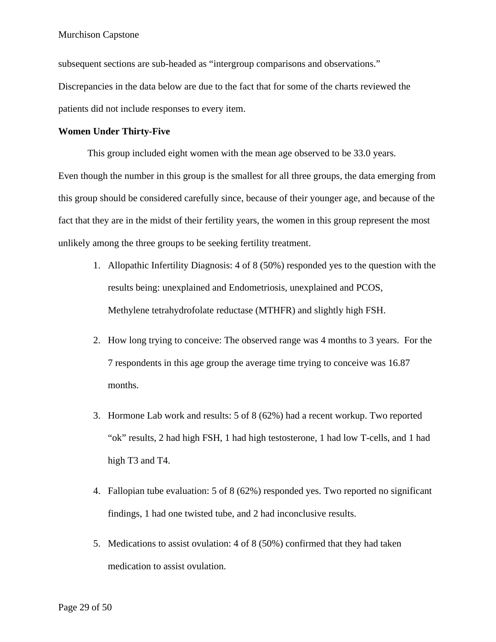subsequent sections are sub-headed as "intergroup comparisons and observations." Discrepancies in the data below are due to the fact that for some of the charts reviewed the patients did not include responses to every item.

#### **Women Under Thirty-Five**

This group included eight women with the mean age observed to be 33.0 years. Even though the number in this group is the smallest for all three groups, the data emerging from this group should be considered carefully since, because of their younger age, and because of the fact that they are in the midst of their fertility years, the women in this group represent the most unlikely among the three groups to be seeking fertility treatment.

- 1. Allopathic Infertility Diagnosis: 4 of 8 (50%) responded yes to the question with the results being: unexplained and Endometriosis, unexplained and PCOS, Methylene tetrahydrofolate reductase (MTHFR) and slightly high FSH.
- 2. How long trying to conceive: The observed range was 4 months to 3 years. For the 7 respondents in this age group the average time trying to conceive was 16.87 months.
- 3. Hormone Lab work and results: 5 of 8 (62%) had a recent workup. Two reported "ok" results, 2 had high FSH, 1 had high testosterone, 1 had low T-cells, and 1 had high T<sub>3</sub> and T<sub>4</sub>.
- 4. Fallopian tube evaluation: 5 of 8 (62%) responded yes. Two reported no significant findings, 1 had one twisted tube, and 2 had inconclusive results.
- 5. Medications to assist ovulation: 4 of 8 (50%) confirmed that they had taken medication to assist ovulation.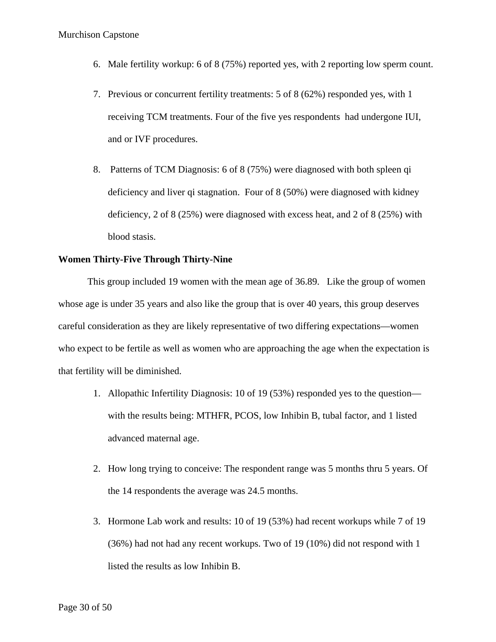- 6. Male fertility workup: 6 of 8 (75%) reported yes, with 2 reporting low sperm count.
- 7. Previous or concurrent fertility treatments: 5 of 8 (62%) responded yes, with 1 receiving TCM treatments. Four of the five yes respondents had undergone IUI, and or IVF procedures.
- 8. Patterns of TCM Diagnosis: 6 of 8 (75%) were diagnosed with both spleen qi deficiency and liver qi stagnation. Four of 8 (50%) were diagnosed with kidney deficiency, 2 of 8 (25%) were diagnosed with excess heat, and 2 of 8 (25%) with blood stasis.

# **Women Thirty-Five Through Thirty-Nine**

This group included 19 women with the mean age of 36.89. Like the group of women whose age is under 35 years and also like the group that is over 40 years, this group deserves careful consideration as they are likely representative of two differing expectations—women who expect to be fertile as well as women who are approaching the age when the expectation is that fertility will be diminished.

- 1. Allopathic Infertility Diagnosis: 10 of 19 (53%) responded yes to the question with the results being: MTHFR, PCOS, low Inhibin B, tubal factor, and 1 listed advanced maternal age.
- 2. How long trying to conceive: The respondent range was 5 months thru 5 years. Of the 14 respondents the average was 24.5 months.
- 3. Hormone Lab work and results: 10 of 19 (53%) had recent workups while 7 of 19 (36%) had not had any recent workups. Two of 19 (10%) did not respond with 1 listed the results as low Inhibin B.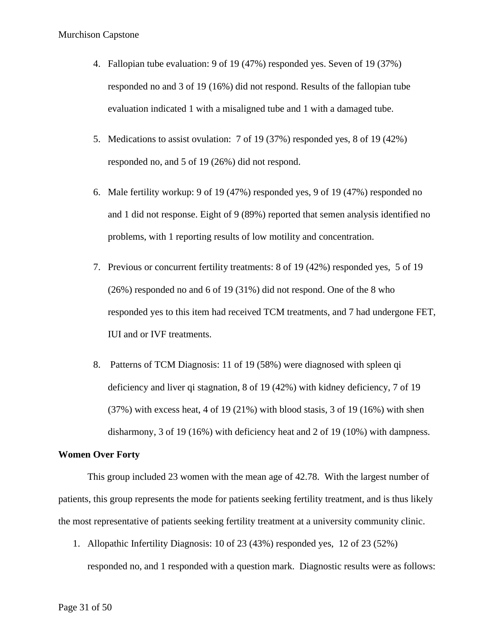- 4. Fallopian tube evaluation: 9 of 19 (47%) responded yes. Seven of 19 (37%) responded no and 3 of 19 (16%) did not respond. Results of the fallopian tube evaluation indicated 1 with a misaligned tube and 1 with a damaged tube.
- 5. Medications to assist ovulation: 7 of 19 (37%) responded yes, 8 of 19 (42%) responded no, and 5 of 19 (26%) did not respond.
- 6. Male fertility workup: 9 of 19 (47%) responded yes, 9 of 19 (47%) responded no and 1 did not response. Eight of 9 (89%) reported that semen analysis identified no problems, with 1 reporting results of low motility and concentration.
- 7. Previous or concurrent fertility treatments: 8 of 19 (42%) responded yes, 5 of 19 (26%) responded no and 6 of 19 (31%) did not respond. One of the 8 who responded yes to this item had received TCM treatments, and 7 had undergone FET, IUI and or IVF treatments.
- 8. Patterns of TCM Diagnosis: 11 of 19 (58%) were diagnosed with spleen qi deficiency and liver qi stagnation, 8 of 19 (42%) with kidney deficiency, 7 of 19 (37%) with excess heat, 4 of 19 (21%) with blood stasis, 3 of 19 (16%) with shen disharmony, 3 of 19 (16%) with deficiency heat and 2 of 19 (10%) with dampness.

# **Women Over Forty**

This group included 23 women with the mean age of 42.78. With the largest number of patients, this group represents the mode for patients seeking fertility treatment, and is thus likely the most representative of patients seeking fertility treatment at a university community clinic.

1. Allopathic Infertility Diagnosis: 10 of 23 (43%) responded yes, 12 of 23 (52%) responded no, and 1 responded with a question mark. Diagnostic results were as follows: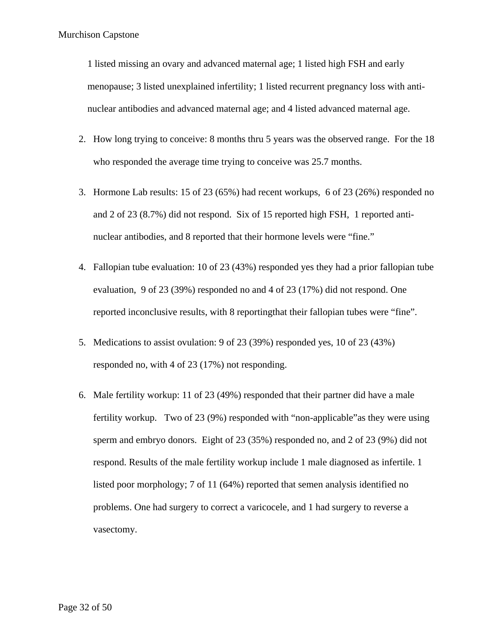1 listed missing an ovary and advanced maternal age; 1 listed high FSH and early menopause; 3 listed unexplained infertility; 1 listed recurrent pregnancy loss with antinuclear antibodies and advanced maternal age; and 4 listed advanced maternal age.

- 2. How long trying to conceive: 8 months thru 5 years was the observed range. For the 18 who responded the average time trying to conceive was 25.7 months.
- 3. Hormone Lab results: 15 of 23 (65%) had recent workups, 6 of 23 (26%) responded no and 2 of 23 (8.7%) did not respond. Six of 15 reported high FSH, 1 reported antinuclear antibodies, and 8 reported that their hormone levels were "fine."
- 4. Fallopian tube evaluation: 10 of 23 (43%) responded yes they had a prior fallopian tube evaluation, 9 of 23 (39%) responded no and 4 of 23 (17%) did not respond. One reported inconclusive results, with 8 reportingthat their fallopian tubes were "fine".
- 5. Medications to assist ovulation: 9 of 23 (39%) responded yes, 10 of 23 (43%) responded no, with 4 of 23 (17%) not responding.
- 6. Male fertility workup: 11 of 23 (49%) responded that their partner did have a male fertility workup. Two of 23 (9%) responded with "non-applicable"as they were using sperm and embryo donors. Eight of 23 (35%) responded no, and 2 of 23 (9%) did not respond. Results of the male fertility workup include 1 male diagnosed as infertile. 1 listed poor morphology; 7 of 11 (64%) reported that semen analysis identified no problems. One had surgery to correct a varicocele, and 1 had surgery to reverse a vasectomy.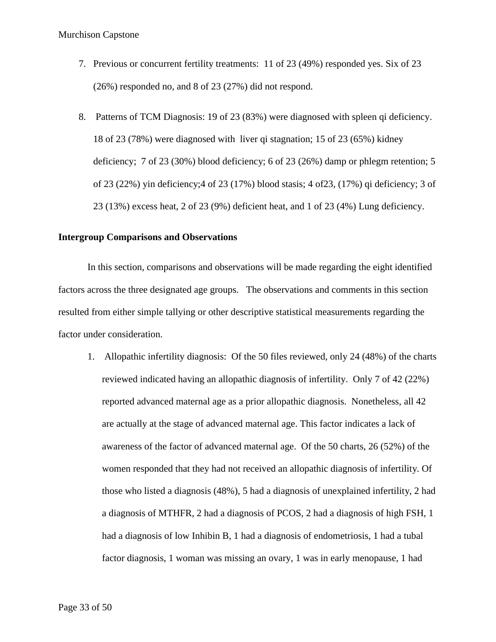- 7. Previous or concurrent fertility treatments: 11 of 23 (49%) responded yes. Six of 23 (26%) responded no, and 8 of 23 (27%) did not respond.
- 8. Patterns of TCM Diagnosis: 19 of 23 (83%) were diagnosed with spleen qi deficiency. 18 of 23 (78%) were diagnosed with liver qi stagnation; 15 of 23 (65%) kidney deficiency; 7 of 23 (30%) blood deficiency; 6 of 23 (26%) damp or phlegm retention; 5 of 23 (22%) yin deficiency;4 of 23 (17%) blood stasis; 4 of23, (17%) qi deficiency; 3 of 23 (13%) excess heat, 2 of 23 (9%) deficient heat, and 1 of 23 (4%) Lung deficiency.

# **Intergroup Comparisons and Observations**

In this section, comparisons and observations will be made regarding the eight identified factors across the three designated age groups. The observations and comments in this section resulted from either simple tallying or other descriptive statistical measurements regarding the factor under consideration.

1. Allopathic infertility diagnosis: Of the 50 files reviewed, only 24 (48%) of the charts reviewed indicated having an allopathic diagnosis of infertility. Only 7 of 42 (22%) reported advanced maternal age as a prior allopathic diagnosis. Nonetheless, all 42 are actually at the stage of advanced maternal age. This factor indicates a lack of awareness of the factor of advanced maternal age. Of the 50 charts, 26 (52%) of the women responded that they had not received an allopathic diagnosis of infertility. Of those who listed a diagnosis (48%), 5 had a diagnosis of unexplained infertility, 2 had a diagnosis of MTHFR, 2 had a diagnosis of PCOS, 2 had a diagnosis of high FSH, 1 had a diagnosis of low Inhibin B, 1 had a diagnosis of endometriosis, 1 had a tubal factor diagnosis, 1 woman was missing an ovary, 1 was in early menopause, 1 had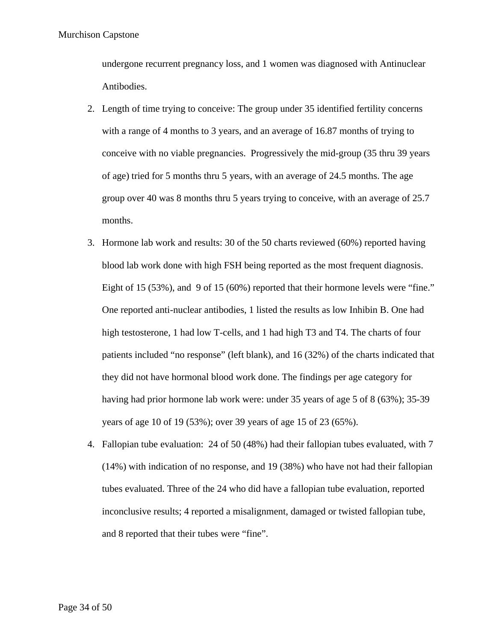undergone recurrent pregnancy loss, and 1 women was diagnosed with Antinuclear Antibodies.

- 2. Length of time trying to conceive: The group under 35 identified fertility concerns with a range of 4 months to 3 years, and an average of 16.87 months of trying to conceive with no viable pregnancies. Progressively the mid-group (35 thru 39 years of age) tried for 5 months thru 5 years, with an average of 24.5 months. The age group over 40 was 8 months thru 5 years trying to conceive, with an average of 25.7 months.
- 3. Hormone lab work and results: 30 of the 50 charts reviewed (60%) reported having blood lab work done with high FSH being reported as the most frequent diagnosis. Eight of 15 (53%), and 9 of 15 (60%) reported that their hormone levels were "fine." One reported anti-nuclear antibodies, 1 listed the results as low Inhibin B. One had high testosterone, 1 had low T-cells, and 1 had high T3 and T4. The charts of four patients included "no response" (left blank), and 16 (32%) of the charts indicated that they did not have hormonal blood work done. The findings per age category for having had prior hormone lab work were: under 35 years of age 5 of 8 (63%); 35-39 years of age 10 of 19 (53%); over 39 years of age 15 of 23 (65%).
- 4. Fallopian tube evaluation: 24 of 50 (48%) had their fallopian tubes evaluated, with 7 (14%) with indication of no response, and 19 (38%) who have not had their fallopian tubes evaluated. Three of the 24 who did have a fallopian tube evaluation, reported inconclusive results; 4 reported a misalignment, damaged or twisted fallopian tube, and 8 reported that their tubes were "fine".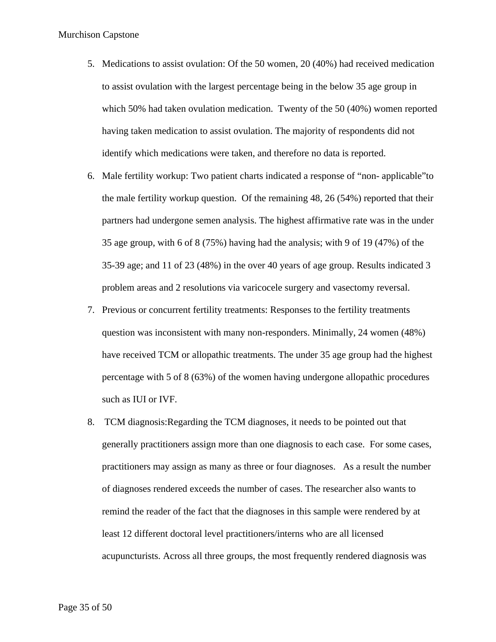- 5. Medications to assist ovulation: Of the 50 women, 20 (40%) had received medication to assist ovulation with the largest percentage being in the below 35 age group in which 50% had taken ovulation medication. Twenty of the 50 (40%) women reported having taken medication to assist ovulation. The majority of respondents did not identify which medications were taken, and therefore no data is reported.
- 6. Male fertility workup: Two patient charts indicated a response of "non- applicable"to the male fertility workup question. Of the remaining 48, 26 (54%) reported that their partners had undergone semen analysis. The highest affirmative rate was in the under 35 age group, with 6 of 8 (75%) having had the analysis; with 9 of 19 (47%) of the 35-39 age; and 11 of 23 (48%) in the over 40 years of age group. Results indicated 3 problem areas and 2 resolutions via varicocele surgery and vasectomy reversal.
- 7. Previous or concurrent fertility treatments: Responses to the fertility treatments question was inconsistent with many non-responders. Minimally, 24 women (48%) have received TCM or allopathic treatments. The under 35 age group had the highest percentage with 5 of 8 (63%) of the women having undergone allopathic procedures such as IUI or IVF.
- 8. TCM diagnosis:Regarding the TCM diagnoses, it needs to be pointed out that generally practitioners assign more than one diagnosis to each case. For some cases, practitioners may assign as many as three or four diagnoses. As a result the number of diagnoses rendered exceeds the number of cases. The researcher also wants to remind the reader of the fact that the diagnoses in this sample were rendered by at least 12 different doctoral level practitioners/interns who are all licensed acupuncturists. Across all three groups, the most frequently rendered diagnosis was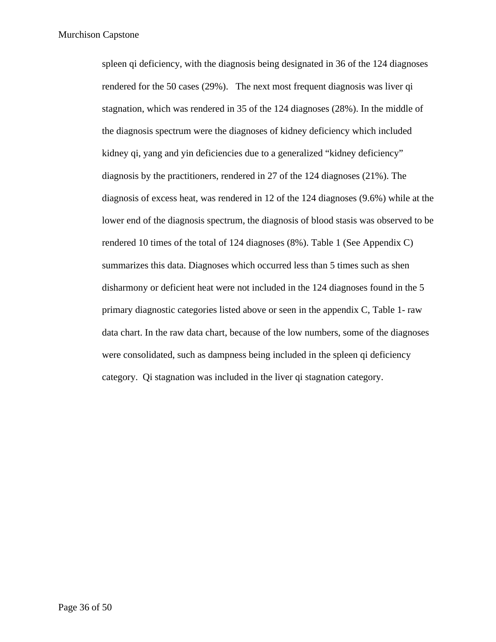spleen qi deficiency, with the diagnosis being designated in 36 of the 124 diagnoses rendered for the 50 cases (29%). The next most frequent diagnosis was liver qi stagnation, which was rendered in 35 of the 124 diagnoses (28%). In the middle of the diagnosis spectrum were the diagnoses of kidney deficiency which included kidney qi, yang and yin deficiencies due to a generalized "kidney deficiency" diagnosis by the practitioners, rendered in 27 of the 124 diagnoses (21%). The diagnosis of excess heat, was rendered in 12 of the 124 diagnoses (9.6%) while at the lower end of the diagnosis spectrum, the diagnosis of blood stasis was observed to be rendered 10 times of the total of 124 diagnoses (8%). Table 1 (See Appendix C) summarizes this data. Diagnoses which occurred less than 5 times such as shen disharmony or deficient heat were not included in the 124 diagnoses found in the 5 primary diagnostic categories listed above or seen in the appendix C, Table 1- raw data chart. In the raw data chart, because of the low numbers, some of the diagnoses were consolidated, such as dampness being included in the spleen qi deficiency category. Qi stagnation was included in the liver qi stagnation category.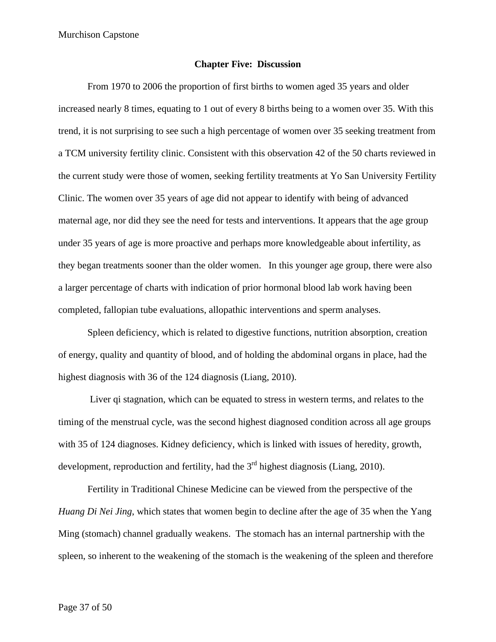#### **Chapter Five: Discussion**

From 1970 to 2006 the proportion of first births to women aged 35 years and older increased nearly 8 times, equating to 1 out of every 8 births being to a women over 35. With this trend, it is not surprising to see such a high percentage of women over 35 seeking treatment from a TCM university fertility clinic. Consistent with this observation 42 of the 50 charts reviewed in the current study were those of women, seeking fertility treatments at Yo San University Fertility Clinic. The women over 35 years of age did not appear to identify with being of advanced maternal age, nor did they see the need for tests and interventions. It appears that the age group under 35 years of age is more proactive and perhaps more knowledgeable about infertility, as they began treatments sooner than the older women. In this younger age group, there were also a larger percentage of charts with indication of prior hormonal blood lab work having been completed, fallopian tube evaluations, allopathic interventions and sperm analyses.

Spleen deficiency, which is related to digestive functions, nutrition absorption, creation of energy, quality and quantity of blood, and of holding the abdominal organs in place, had the highest diagnosis with 36 of the 124 diagnosis (Liang, 2010).

Liver qi stagnation, which can be equated to stress in western terms, and relates to the timing of the menstrual cycle, was the second highest diagnosed condition across all age groups with 35 of 124 diagnoses. Kidney deficiency, which is linked with issues of heredity, growth, development, reproduction and fertility, had the  $3<sup>rd</sup>$  highest diagnosis (Liang, 2010).

Fertility in Traditional Chinese Medicine can be viewed from the perspective of the *Huang Di Nei Jing*, which states that women begin to decline after the age of 35 when the Yang Ming (stomach) channel gradually weakens. The stomach has an internal partnership with the spleen, so inherent to the weakening of the stomach is the weakening of the spleen and therefore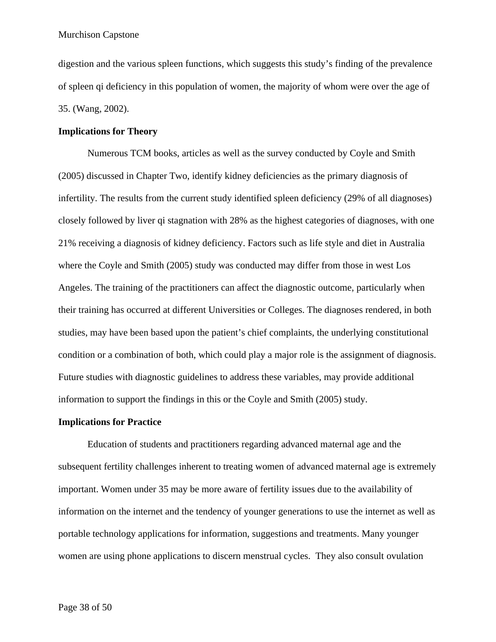digestion and the various spleen functions, which suggests this study's finding of the prevalence of spleen qi deficiency in this population of women, the majority of whom were over the age of 35. (Wang, 2002).

#### **Implications for Theory**

Numerous TCM books, articles as well as the survey conducted by Coyle and Smith (2005) discussed in Chapter Two, identify kidney deficiencies as the primary diagnosis of infertility. The results from the current study identified spleen deficiency (29% of all diagnoses) closely followed by liver qi stagnation with 28% as the highest categories of diagnoses, with one 21% receiving a diagnosis of kidney deficiency. Factors such as life style and diet in Australia where the Coyle and Smith (2005) study was conducted may differ from those in west Los Angeles. The training of the practitioners can affect the diagnostic outcome, particularly when their training has occurred at different Universities or Colleges. The diagnoses rendered, in both studies, may have been based upon the patient's chief complaints, the underlying constitutional condition or a combination of both, which could play a major role is the assignment of diagnosis. Future studies with diagnostic guidelines to address these variables, may provide additional information to support the findings in this or the Coyle and Smith (2005) study.

#### **Implications for Practice**

Education of students and practitioners regarding advanced maternal age and the subsequent fertility challenges inherent to treating women of advanced maternal age is extremely important. Women under 35 may be more aware of fertility issues due to the availability of information on the internet and the tendency of younger generations to use the internet as well as portable technology applications for information, suggestions and treatments. Many younger women are using phone applications to discern menstrual cycles. They also consult ovulation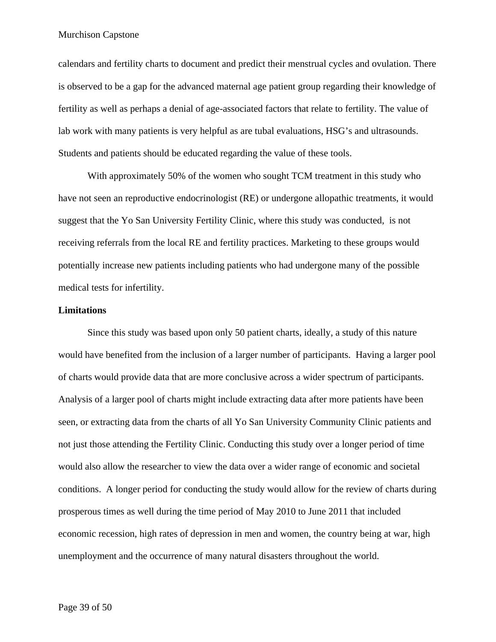calendars and fertility charts to document and predict their menstrual cycles and ovulation. There is observed to be a gap for the advanced maternal age patient group regarding their knowledge of fertility as well as perhaps a denial of age-associated factors that relate to fertility. The value of lab work with many patients is very helpful as are tubal evaluations, HSG's and ultrasounds. Students and patients should be educated regarding the value of these tools.

With approximately 50% of the women who sought TCM treatment in this study who have not seen an reproductive endocrinologist (RE) or undergone allopathic treatments, it would suggest that the Yo San University Fertility Clinic, where this study was conducted, is not receiving referrals from the local RE and fertility practices. Marketing to these groups would potentially increase new patients including patients who had undergone many of the possible medical tests for infertility.

#### **Limitations**

Since this study was based upon only 50 patient charts, ideally, a study of this nature would have benefited from the inclusion of a larger number of participants. Having a larger pool of charts would provide data that are more conclusive across a wider spectrum of participants. Analysis of a larger pool of charts might include extracting data after more patients have been seen, or extracting data from the charts of all Yo San University Community Clinic patients and not just those attending the Fertility Clinic. Conducting this study over a longer period of time would also allow the researcher to view the data over a wider range of economic and societal conditions. A longer period for conducting the study would allow for the review of charts during prosperous times as well during the time period of May 2010 to June 2011 that included economic recession, high rates of depression in men and women, the country being at war, high unemployment and the occurrence of many natural disasters throughout the world.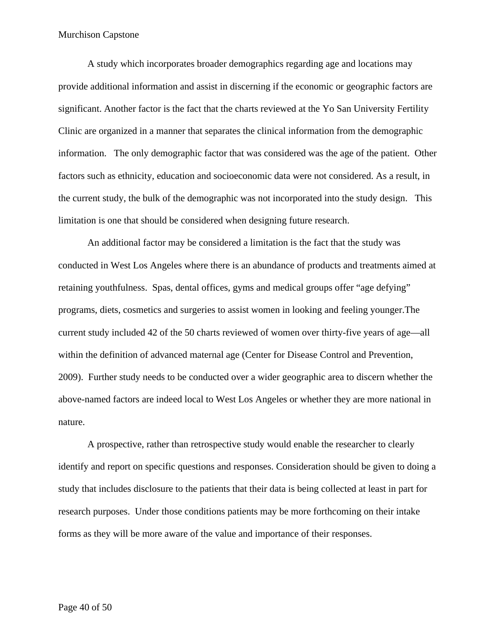A study which incorporates broader demographics regarding age and locations may provide additional information and assist in discerning if the economic or geographic factors are significant. Another factor is the fact that the charts reviewed at the Yo San University Fertility Clinic are organized in a manner that separates the clinical information from the demographic information. The only demographic factor that was considered was the age of the patient. Other factors such as ethnicity, education and socioeconomic data were not considered. As a result, in the current study, the bulk of the demographic was not incorporated into the study design. This limitation is one that should be considered when designing future research.

An additional factor may be considered a limitation is the fact that the study was conducted in West Los Angeles where there is an abundance of products and treatments aimed at retaining youthfulness. Spas, dental offices, gyms and medical groups offer "age defying" programs, diets, cosmetics and surgeries to assist women in looking and feeling younger.The current study included 42 of the 50 charts reviewed of women over thirty-five years of age—all within the definition of advanced maternal age (Center for Disease Control and Prevention, 2009). Further study needs to be conducted over a wider geographic area to discern whether the above-named factors are indeed local to West Los Angeles or whether they are more national in nature.

A prospective, rather than retrospective study would enable the researcher to clearly identify and report on specific questions and responses. Consideration should be given to doing a study that includes disclosure to the patients that their data is being collected at least in part for research purposes. Under those conditions patients may be more forthcoming on their intake forms as they will be more aware of the value and importance of their responses.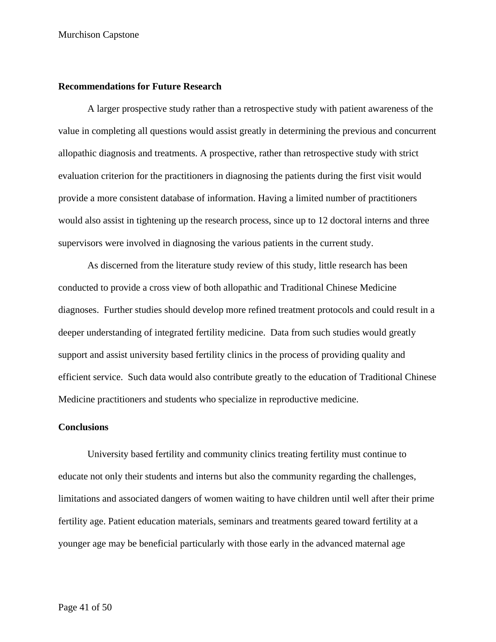### **Recommendations for Future Research**

A larger prospective study rather than a retrospective study with patient awareness of the value in completing all questions would assist greatly in determining the previous and concurrent allopathic diagnosis and treatments. A prospective, rather than retrospective study with strict evaluation criterion for the practitioners in diagnosing the patients during the first visit would provide a more consistent database of information. Having a limited number of practitioners would also assist in tightening up the research process, since up to 12 doctoral interns and three supervisors were involved in diagnosing the various patients in the current study.

As discerned from the literature study review of this study, little research has been conducted to provide a cross view of both allopathic and Traditional Chinese Medicine diagnoses. Further studies should develop more refined treatment protocols and could result in a deeper understanding of integrated fertility medicine. Data from such studies would greatly support and assist university based fertility clinics in the process of providing quality and efficient service. Such data would also contribute greatly to the education of Traditional Chinese Medicine practitioners and students who specialize in reproductive medicine.

#### **Conclusions**

University based fertility and community clinics treating fertility must continue to educate not only their students and interns but also the community regarding the challenges, limitations and associated dangers of women waiting to have children until well after their prime fertility age. Patient education materials, seminars and treatments geared toward fertility at a younger age may be beneficial particularly with those early in the advanced maternal age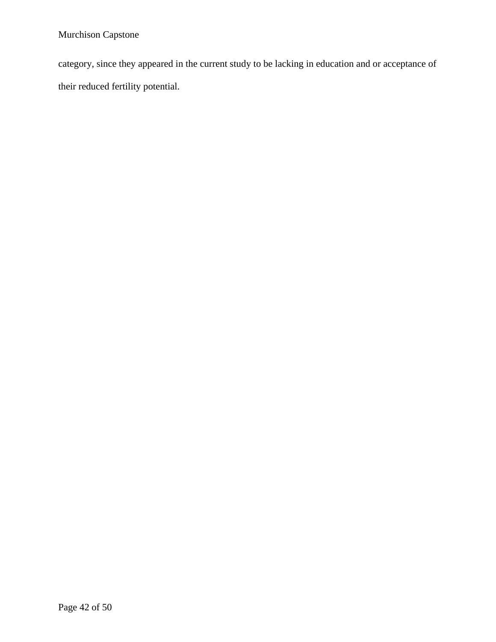category, since they appeared in the current study to be lacking in education and or acceptance of their reduced fertility potential.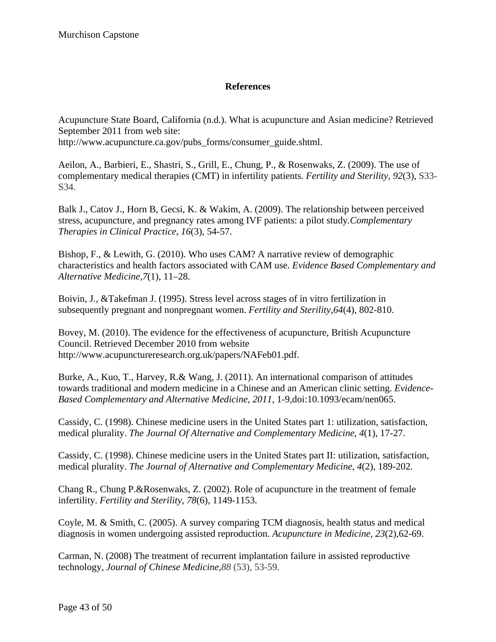# **References**

Acupuncture State Board, California (n.d.). What is acupuncture and Asian medicine? Retrieved September 2011 from web site:

http://www.acupuncture.ca.gov/pubs\_forms/consumer\_guide.shtml.

Aeilon, A., Barbieri, E., Shastri, S., Grill, E., Chung, P., & Rosenwaks, Z. (2009). The use of complementary medical therapies (CMT) in infertility patients. *Fertility and Sterility*, *92*(3), S33- S34.

Balk J**.**, Catov J**.**, Horn B, Gecsi, K. & Wakim, A. (2009). The relationship between perceived stress, acupuncture, and pregnancy rates among IVF patients: a pilot study*.Complementary Therapies in Clinical Practice***,** *16*(3), 54-57.

Bishop, F., & Lewith, G. (2010). Who uses CAM? A narrative review of demographic characteristics and health factors associated with CAM use. *Evidence Based Complementary and Alternative Medicine,7*(1), 11–28.

Boivin, J., &Takefman J. (1995). Stress level across stages of in vitro fertilization in subsequently pregnant and nonpregnant women. *Fertility and Sterility*,*64*(4), 802-810.

Bovey, M. (2010). The evidence for the effectiveness of acupuncture, British Acupuncture Council. Retrieved December 2010 from website http://www.acupunctureresearch.org.uk/papers/NAFeb01.pdf.

Burke, A., Kuo, T., Harvey, R.& Wang, J. (2011). An international comparison of attitudes towards traditional and modern medicine in a Chinese and an American clinic setting. *Evidence-Based Complementary and Alternative Medicine, 2011,* 1-9,doi:10.1093/ecam/nen065.

Cassidy, C. (1998). Chinese medicine users in the United States part 1: utilization, satisfaction, medical plurality. *The Journal Of Alternative and Complementary Medicine*, *4*(1), 17-27.

Cassidy, C. (1998). Chinese medicine users in the United States part II: utilization, satisfaction, medical plurality. *The Journal of Alternative and Complementary Medicine*, *4*(2), 189-202.

Chang R., Chung P.&Rosenwaks, Z. (2002). Role of acupuncture in the treatment of female infertility. *Fertility and Sterility*, *78*(6), 1149-1153.

Coyle, M. & Smith, C. (2005). A survey comparing TCM diagnosis, health status and medical diagnosis in women undergoing assisted reproduction. *Acupuncture in Medicine*, *23*(2),62-69.

Carman, N. (2008) The treatment of recurrent implantation failure in assisted reproductive technology, *Journal of Chinese Medicine,88* (53), 53-59.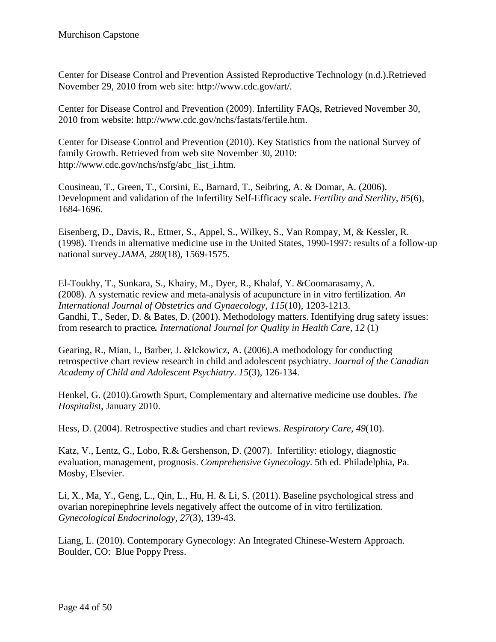Center for Disease Control and Prevention Assisted Reproductive Technology (n.d.).Retrieved November 29, 2010 from web site: http://www.cdc.gov/art/.

Center for Disease Control and Prevention (2009). Infertility FAQs, Retrieved November 30, 2010 from website: http://www.cdc.gov/nchs/fastats/fertile.htm.

Center for Disease Control and Prevention (2010). Key Statistics from the national Survey of family Growth. Retrieved from web site November 30, 2010: http://www.cdc.gov/nchs/nsfg/abc\_list\_i.htm.

Cousineau, T., Green, T., Corsini, E., Barnard, T., Seibring, A. & Domar, A. (2006). Development and validation of the Infertility Self-Efficacy scale**.** *Fertility and Sterility*, *85*(6), 1684-1696.

Eisenberg, D., Davis, R., Ettner, S., Appel, S., Wilkey, S., Van Rompay, M, & Kessler, R. (1998). Trends in alternative medicine use in the United States, 1990-1997: results of a follow-up national survey.*JAMA*, *280*(18), 1569-1575.

El-Toukhy, T., Sunkara, S., Khairy, M., Dyer, R., Khalaf, Y. &Coomarasamy, A. (2008). A systematic review and meta-analysis of acupuncture in in vitro fertilization. *An International Journal of Obstetrics and Gynaecology, 115*(10), 1203-1213. Gandhi, T., Seder, D. & Bates, D. (2001). Methodology matters. Identifying drug safety issues: from research to practice*. International Journal for Quality in Health Care*, *12* (1)

Gearing, R., Mian, I., Barber, J. &Ickowicz, A. (2006).A methodology for conducting retrospective chart review research in child and adolescent psychiatry. *Journal of the Canadian Academy of Child and Adolescent Psychiatry*. *15*(3), 126-134.

Henkel, G. (2010).Growth Spurt, Complementary and alternative medicine use doubles. *The Hospitalis*t, January 2010.

Hess, D. (2004). Retrospective studies and chart reviews. *Respiratory Care*, *49*(10).

Katz, V., Lentz, G., Lobo, R.& Gershenson, D. (2007). Infertility: etiology, diagnostic evaluation, management, prognosis. *Comprehensive Gynecology*. 5th ed. Philadelphia, Pa. Mosby, Elsevier.

Li, X., Ma, Y., Geng, L., Qin, L., Hu, H. & Li, S. (2011). Baseline psychological stress and ovarian norepinephrine levels negatively affect the outcome of in vitro fertilization. *Gynecological Endocrinology, 27*(3), 139-43.

Liang, L. (2010). Contemporary Gynecology: An Integrated Chinese-Western Approach. Boulder, CO: Blue Poppy Press.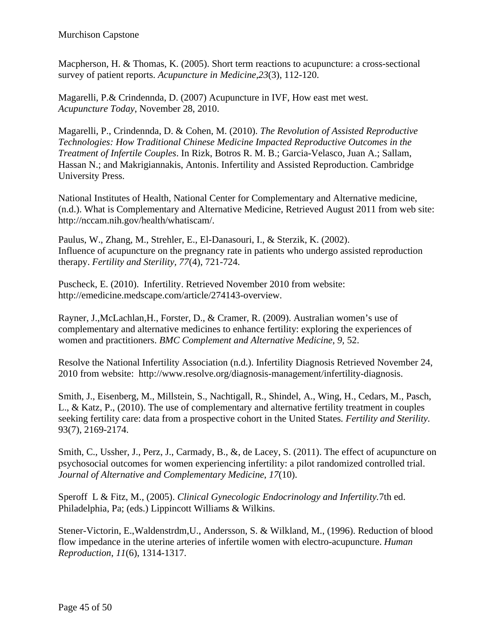Macpherson, H. & Thomas, K. (2005). Short term reactions to acupuncture: a cross-sectional survey of patient reports. *Acupuncture in Medicine,23*(3), 112-120.

Magarelli, P.& Crindennda, D. (2007) Acupuncture in IVF, How east met west. *Acupuncture Today*, November 28, 2010.

Magarelli, P., Crindennda, D. & Cohen, M. (2010). *The Revolution of Assisted Reproductive Technologies: How Traditional Chinese Medicine Impacted Reproductive Outcomes in the Treatment of Infertile Couples*. In Rizk, Botros R. M. B.; Garcia-Velasco, Juan A.; Sallam, Hassan N.; and Makrigiannakis, Antonis. Infertility and Assisted Reproduction. Cambridge University Press.

National Institutes of Health, National Center for Complementary and Alternative medicine, (n.d.). What is Complementary and Alternative Medicine, Retrieved August 2011 from web site: http://nccam.nih.gov/health/whatiscam/.

Paulus, W., Zhang, M., Strehler, E., El-Danasouri, I., & Sterzik, K. (2002). Influence of acupuncture on the pregnancy rate in patients who undergo assisted reproduction therapy. *Fertility and Sterility, 77*(4), 721-724.

Puscheck, E. (2010). Infertility. Retrieved November 2010 from website: http://emedicine.medscape.com/article/274143-overview.

Rayner, J.,McLachlan,H., Forster, D., & Cramer, R. (2009). Australian women's use of complementary and alternative medicines to enhance fertility: exploring the experiences of women and practitioners. *BMC Complement and Alternative Medicine*, *9,* 52.

Resolve the National Infertility Association (n.d.). Infertility Diagnosis Retrieved November 24, 2010 from website: http://www.resolve.org/diagnosis-management/infertility-diagnosis.

Smith, J., Eisenberg, M., Millstein, S., Nachtigall, R., Shindel, A., Wing, H., Cedars, M., Pasch, L., & Katz, P., (2010). The use of complementary and alternative fertility treatment in couples seeking fertility care: data from a prospective cohort in the United States*. Fertility and Sterility.* 93(7), 2169-2174.

Smith, C., Ussher, J., Perz, J., Carmady, B., &, de Lacey, S. (2011). The effect of acupuncture on psychosocial outcomes for women experiencing infertility: a pilot randomized controlled trial. *Journal of Alternative and Complementary Medicine*, *17*(10).

Speroff L & Fitz, M., (2005). *Clinical Gynecologic Endocrinology and Infertility.*7th ed. Philadelphia, Pa; (eds.) Lippincott Williams & Wilkins.

Stener-Victorin, E.,Waldenstrdm,U., Andersson, S. & Wilkland, M., (1996). Reduction of blood flow impedance in the uterine arteries of infertile women with electro-acupuncture. *Human Reproduction*, *11*(6), 1314-1317.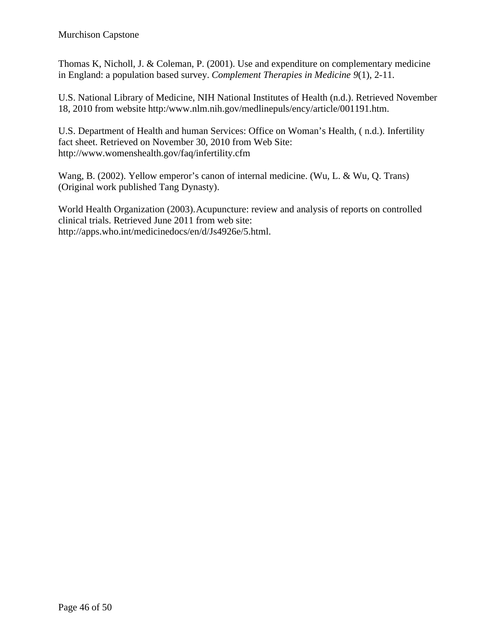Thomas K, Nicholl, J. & Coleman, P. (2001). Use and expenditure on complementary medicine in England: a population based survey. *Complement Therapies in Medicine 9*(1), 2-11.

U.S. National Library of Medicine, NIH National Institutes of Health (n.d.). Retrieved November 18, 2010 from website http:/www.nlm.nih.gov/medlinepuls/ency/article/001191.htm.

U.S. Department of Health and human Services: Office on Woman's Health, ( n.d.). Infertility fact sheet. Retrieved on November 30, 2010 from Web Site: http://www.womenshealth.gov/faq/infertility.cfm

Wang, B. (2002). Yellow emperor's canon of internal medicine. (Wu, L. & Wu, Q. Trans) (Original work published Tang Dynasty).

World Health Organization (2003).Acupuncture: review and analysis of reports on controlled clinical trials. Retrieved June 2011 from web site: http://apps.who.int/medicinedocs/en/d/Js4926e/5.html.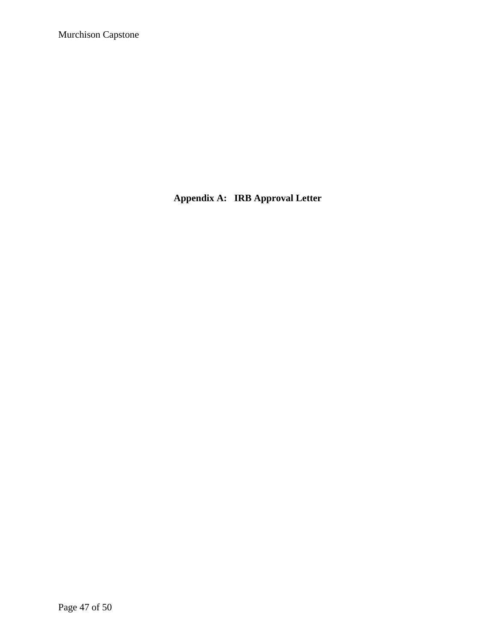**Appendix A: IRB Approval Letter**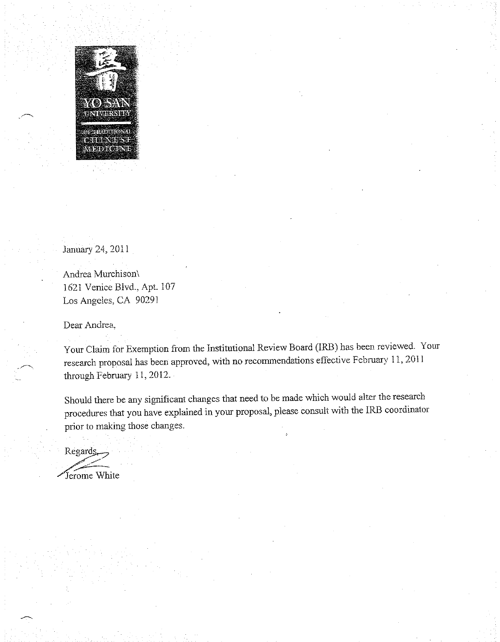

January 24, 2011

Andrea Murchison\ 1621 Venice Blvd., Apt. 107 Los Angeles, CA 90291

Dear Andrea.

Your Claim for Exemption from the Institutional Review Board (IRB) has been reviewed. Your research proposal has been approved, with no recommendations effective February 11, 2011 through February 11, 2012.

Should there be any significant changes that need to be made which would alter the research procedures that you have explained in your proposal, please consult with the IRB coordinator prior to making those changes.

Regards. Jerome White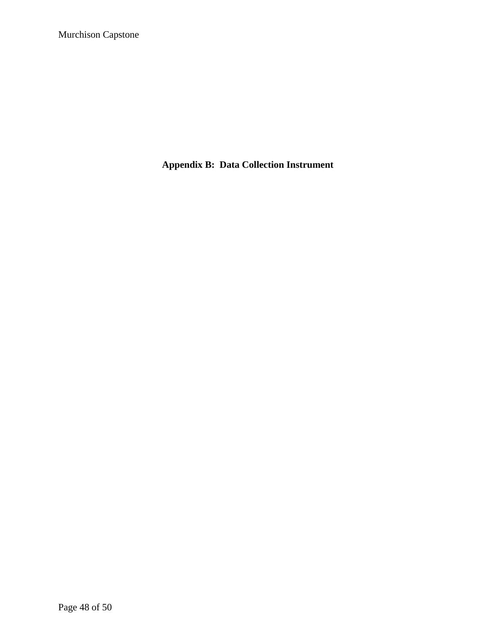**Appendix B: Data Collection Instrument**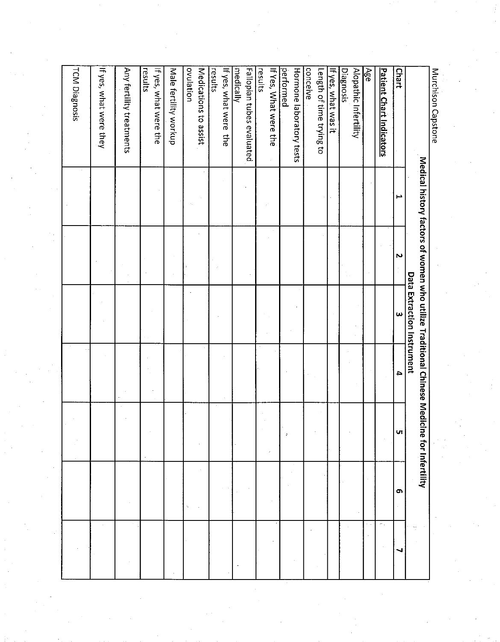|  | TCM Diagnosis | If yes, what were they | Any fertility treatments | results<br>If yes, what were the | Male fertility workup | ovulation<br>Medications to assist | If yes, what were the<br>results | Fallopian tubes evaluated<br>medically | If Yes, What were the<br>results | performed<br>Hormone laboratory tests | conceive<br>Length of time trying to | If yes, what was it | Diagnosis<br>Alopathic Infertility | Age | <b>Patient Chart Indicators</b> | <b>Chart</b>                                                       | Murchison Capstone |
|--|---------------|------------------------|--------------------------|----------------------------------|-----------------------|------------------------------------|----------------------------------|----------------------------------------|----------------------------------|---------------------------------------|--------------------------------------|---------------------|------------------------------------|-----|---------------------------------|--------------------------------------------------------------------|--------------------|
|  |               |                        |                          |                                  |                       |                                    |                                  |                                        |                                  |                                       |                                      |                     |                                    |     |                                 | مير                                                                |                    |
|  |               |                        |                          |                                  |                       |                                    |                                  |                                        |                                  |                                       |                                      |                     |                                    |     |                                 | Medical history factors of women who utilize Traditional<br>$\sim$ |                    |
|  |               |                        |                          |                                  |                       |                                    |                                  |                                        |                                  |                                       |                                      |                     |                                    |     |                                 | Data Extraction Instrument<br>$\boldsymbol{\omega}$                |                    |
|  |               |                        |                          |                                  |                       |                                    |                                  |                                        |                                  |                                       |                                      |                     |                                    |     |                                 | $\overline{\phantom{a}}$                                           |                    |
|  |               |                        |                          |                                  |                       |                                    |                                  |                                        |                                  | $\hat{\mathbf{x}}$                    |                                      |                     |                                    |     |                                 | <b>Chinese Medicine for Infertility</b><br>lч                      |                    |
|  |               |                        |                          |                                  |                       |                                    |                                  |                                        |                                  |                                       |                                      |                     |                                    |     |                                 | $\sigma$                                                           |                    |
|  |               |                        |                          |                                  |                       |                                    |                                  |                                        |                                  |                                       | $\ddot{}$                            |                     |                                    |     | $\sim$                          | ┙                                                                  |                    |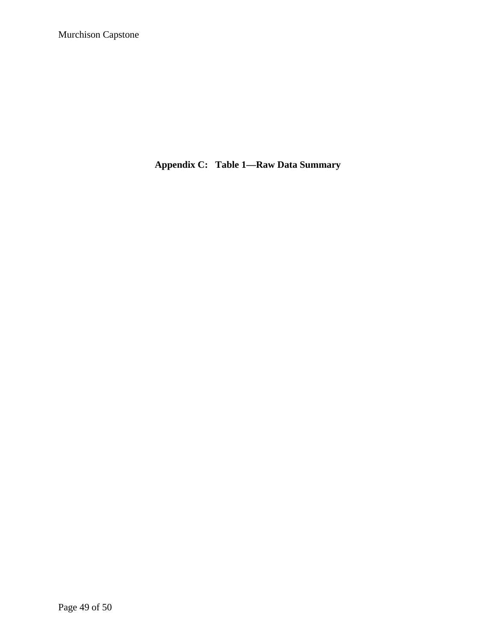**Appendix C: Table 1—Raw Data Summary**